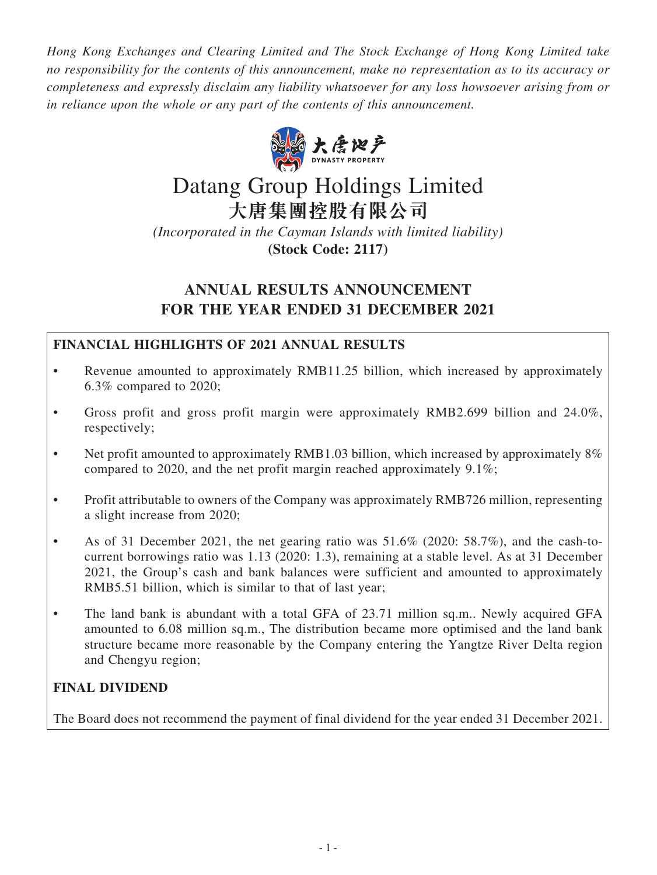*Hong Kong Exchanges and Clearing Limited and The Stock Exchange of Hong Kong Limited take no responsibility for the contents of this announcement, make no representation as to its accuracy or completeness and expressly disclaim any liability whatsoever for any loss howsoever arising from or in reliance upon the whole or any part of the contents of this announcement.*



# Datang Group Holdings Limited **大唐集團控股有限公司**

*(Incorporated in the Cayman Islands with limited liability)* **(Stock Code: 2117)**

# **ANNUAL RESULTS ANNOUNCEMENT FOR THE YEAR ENDED 31 DECEMBER 2021**

# **FINANCIAL HIGHLIGHTS OF 2021 ANNUAL RESULTS**

- Revenue amounted to approximately RMB11.25 billion, which increased by approximately 6.3% compared to 2020;
- Gross profit and gross profit margin were approximately RMB2.699 billion and 24.0%, respectively;
- Net profit amounted to approximately RMB1.03 billion, which increased by approximately 8% compared to 2020, and the net profit margin reached approximately 9.1%;
- Profit attributable to owners of the Company was approximately RMB726 million, representing a slight increase from 2020;
- As of 31 December 2021, the net gearing ratio was  $51.6\%$  (2020: 58.7%), and the cash-tocurrent borrowings ratio was 1.13 (2020: 1.3), remaining at a stable level. As at 31 December 2021, the Group's cash and bank balances were sufficient and amounted to approximately RMB5.51 billion, which is similar to that of last year;
- The land bank is abundant with a total GFA of 23.71 million sq.m.. Newly acquired GFA amounted to 6.08 million sq.m., The distribution became more optimised and the land bank structure became more reasonable by the Company entering the Yangtze River Delta region and Chengyu region;

# **FINAL DIVIDEND**

The Board does not recommend the payment of final dividend for the year ended 31 December 2021.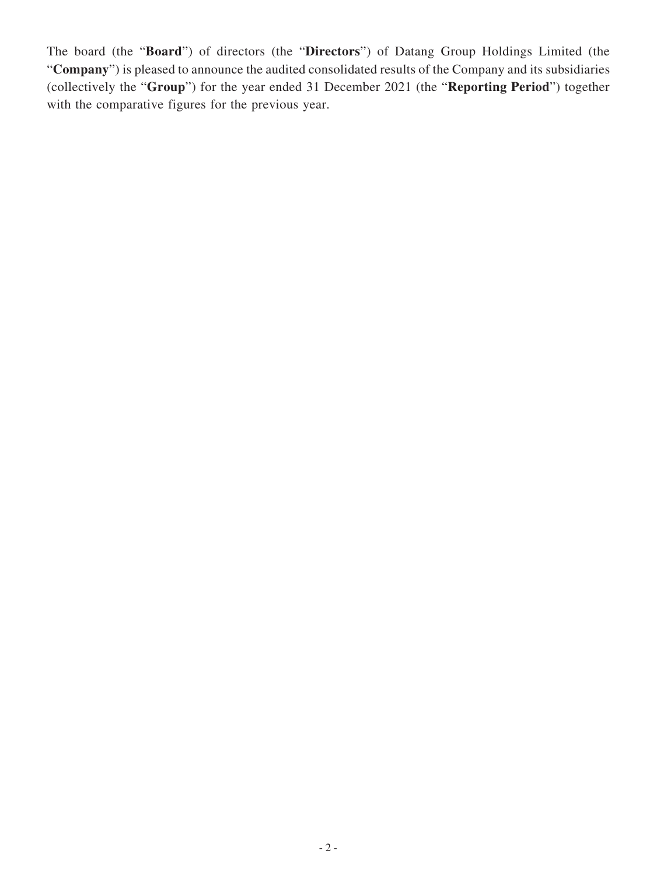The board (the "**Board**") of directors (the "**Directors**") of Datang Group Holdings Limited (the "**Company**") is pleased to announce the audited consolidated results of the Company and its subsidiaries (collectively the "**Group**") for the year ended 31 December 2021 (the "**Reporting Period**") together with the comparative figures for the previous year.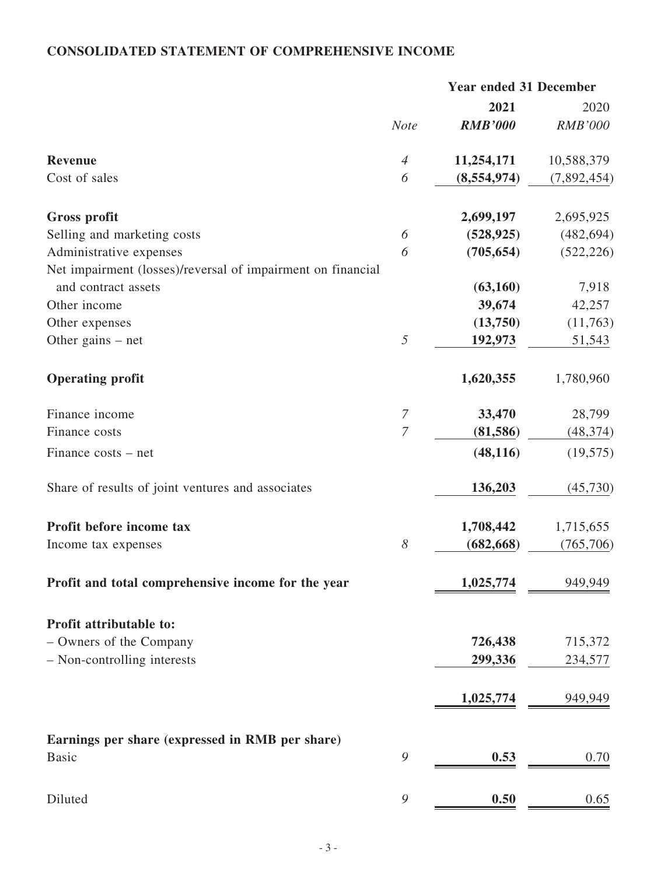# **CONSOLIDATED STATEMENT OF COMPREHENSIVE INCOME**

|                                                             | <b>Year ended 31 December</b> |                |                |
|-------------------------------------------------------------|-------------------------------|----------------|----------------|
|                                                             |                               | 2021           | 2020           |
|                                                             | <b>Note</b>                   | <b>RMB'000</b> | <b>RMB'000</b> |
| <b>Revenue</b>                                              | $\overline{4}$                | 11,254,171     | 10,588,379     |
| Cost of sales                                               | 6                             | (8,554,974)    | (7,892,454)    |
| <b>Gross profit</b>                                         |                               | 2,699,197      | 2,695,925      |
| Selling and marketing costs                                 | 6                             | (528, 925)     | (482, 694)     |
| Administrative expenses                                     | 6                             | (705, 654)     | (522, 226)     |
| Net impairment (losses)/reversal of impairment on financial |                               |                |                |
| and contract assets                                         |                               | (63,160)       | 7,918          |
| Other income                                                |                               | 39,674         | 42,257         |
| Other expenses                                              |                               | (13,750)       | (11,763)       |
| Other gains $-$ net                                         | 5                             | 192,973        | 51,543         |
| <b>Operating profit</b>                                     |                               | 1,620,355      | 1,780,960      |
| Finance income                                              | $\overline{7}$                | 33,470         | 28,799         |
| Finance costs                                               | $\overline{7}$                | (81,586)       | (48, 374)      |
| Finance costs – net                                         |                               | (48, 116)      | (19, 575)      |
| Share of results of joint ventures and associates           |                               | 136,203        | (45, 730)      |
| Profit before income tax                                    |                               | 1,708,442      | 1,715,655      |
| Income tax expenses                                         | 8                             | (682, 668)     | (765, 706)     |
| Profit and total comprehensive income for the year          |                               | 1,025,774      | 949,949        |
| Profit attributable to:                                     |                               |                |                |
| - Owners of the Company                                     |                               | 726,438        | 715,372        |
| - Non-controlling interests                                 |                               | 299,336        | 234,577        |
|                                                             |                               |                |                |
|                                                             |                               | 1,025,774      | 949,949        |
| Earnings per share (expressed in RMB per share)             |                               |                |                |
| <b>Basic</b>                                                | 9                             | 0.53           | 0.70           |
| Diluted                                                     | 9                             | 0.50           | 0.65           |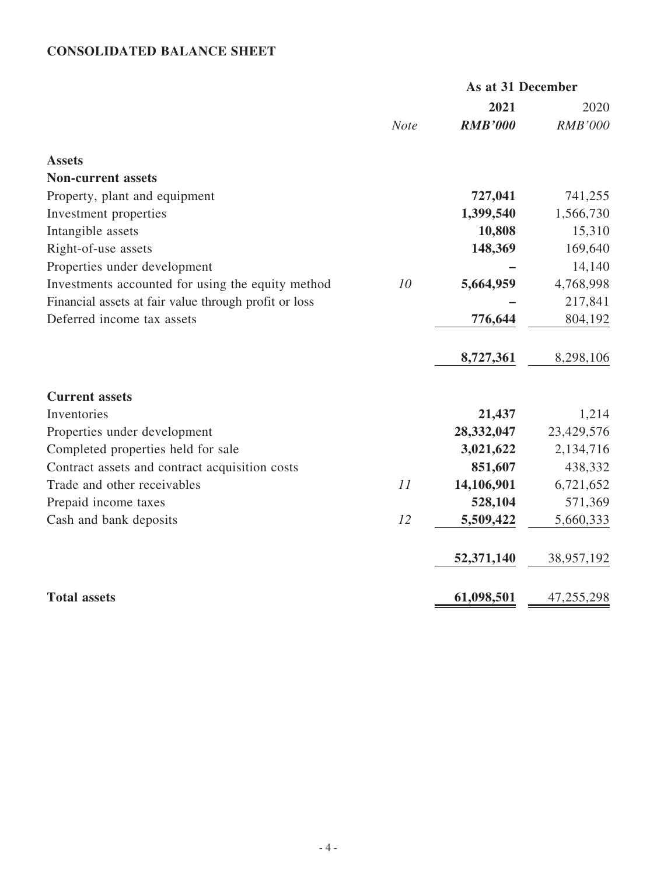# **CONSOLIDATED BALANCE SHEET**

|                                                       |             | As at 31 December |                |
|-------------------------------------------------------|-------------|-------------------|----------------|
|                                                       |             | 2021              | 2020           |
|                                                       | <b>Note</b> | <b>RMB'000</b>    | <b>RMB'000</b> |
| <b>Assets</b>                                         |             |                   |                |
| <b>Non-current assets</b>                             |             |                   |                |
| Property, plant and equipment                         |             | 727,041           | 741,255        |
| Investment properties                                 |             | 1,399,540         | 1,566,730      |
| Intangible assets                                     |             | 10,808            | 15,310         |
| Right-of-use assets                                   |             | 148,369           | 169,640        |
| Properties under development                          |             |                   | 14,140         |
| Investments accounted for using the equity method     | 10          | 5,664,959         | 4,768,998      |
| Financial assets at fair value through profit or loss |             |                   | 217,841        |
| Deferred income tax assets                            |             | 776,644           | 804,192        |
|                                                       |             | 8,727,361         | 8,298,106      |
| <b>Current assets</b>                                 |             |                   |                |
| Inventories                                           |             | 21,437            | 1,214          |
| Properties under development                          |             | 28,332,047        | 23,429,576     |
| Completed properties held for sale                    |             | 3,021,622         | 2,134,716      |
| Contract assets and contract acquisition costs        |             | 851,607           | 438,332        |
| Trade and other receivables                           | 11          | 14,106,901        | 6,721,652      |
| Prepaid income taxes                                  |             | 528,104           | 571,369        |
| Cash and bank deposits                                | 12          | 5,509,422         | 5,660,333      |
|                                                       |             | 52,371,140        | 38,957,192     |
| <b>Total assets</b>                                   |             | 61,098,501        | 47,255,298     |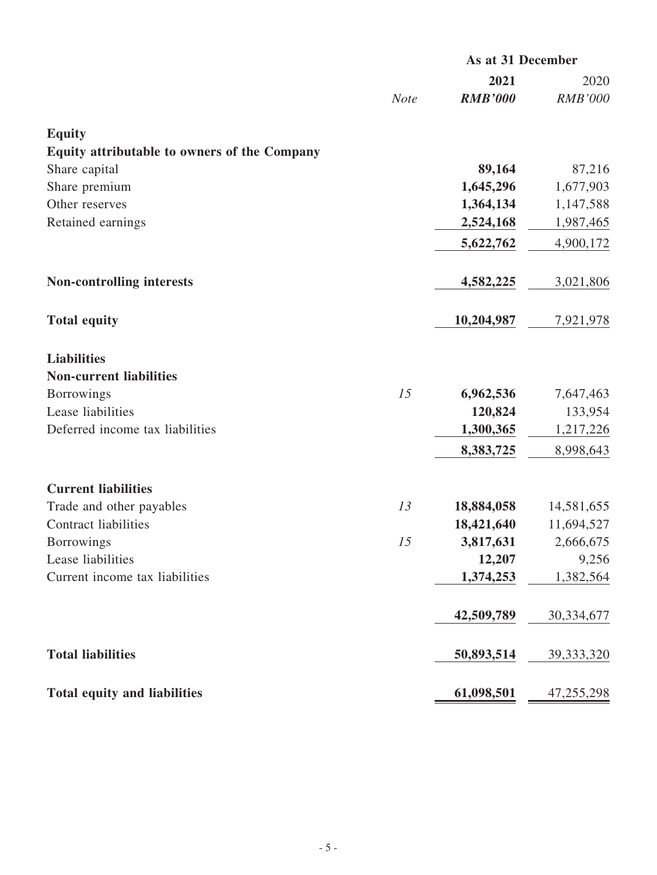|                                                      |             | As at 31 December |                |
|------------------------------------------------------|-------------|-------------------|----------------|
|                                                      |             | 2021              | 2020           |
|                                                      | <b>Note</b> | <b>RMB'000</b>    | <b>RMB'000</b> |
| <b>Equity</b>                                        |             |                   |                |
| Equity attributable to owners of the Company         |             |                   |                |
| Share capital                                        |             | 89,164            | 87,216         |
| Share premium                                        |             | 1,645,296         | 1,677,903      |
| Other reserves                                       |             | 1,364,134         | 1,147,588      |
| Retained earnings                                    |             | 2,524,168         | 1,987,465      |
|                                                      |             | 5,622,762         | 4,900,172      |
| <b>Non-controlling interests</b>                     |             | 4,582,225         | 3,021,806      |
| <b>Total equity</b>                                  |             | 10,204,987        | 7,921,978      |
| <b>Liabilities</b><br><b>Non-current liabilities</b> |             |                   |                |
| <b>Borrowings</b>                                    | 15          | 6,962,536         | 7,647,463      |
| Lease liabilities                                    |             | 120,824           | 133,954        |
| Deferred income tax liabilities                      |             | 1,300,365         | 1,217,226      |
|                                                      |             | 8,383,725         | 8,998,643      |
| <b>Current liabilities</b>                           |             |                   |                |
| Trade and other payables                             | 13          | 18,884,058        | 14,581,655     |
| <b>Contract liabilities</b>                          |             | 18,421,640        | 11,694,527     |
| <b>Borrowings</b>                                    | 15          | 3,817,631         | 2,666,675      |
| Lease liabilities                                    |             | 12,207            | 9,256          |
| Current income tax liabilities                       |             | 1,374,253         | 1,382,564      |
|                                                      |             | 42,509,789        | 30,334,677     |
| <b>Total liabilities</b>                             |             | 50,893,514        | 39, 333, 320   |
| <b>Total equity and liabilities</b>                  |             | 61,098,501        | 47,255,298     |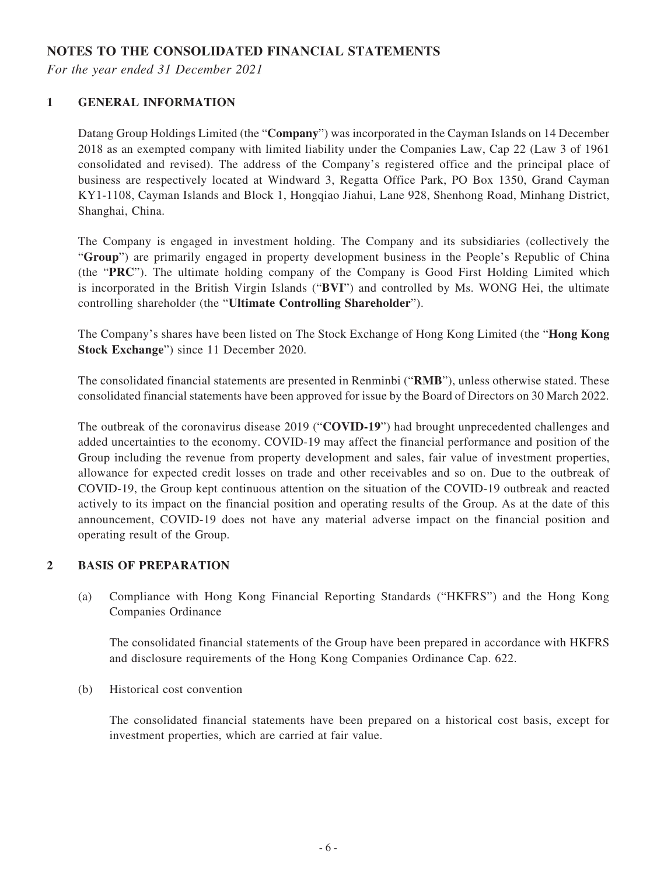### **NOTES TO THE CONSOLIDATED FINANCIAL STATEMENTS**

*For the year ended 31 December 2021*

#### **1 GENERAL INFORMATION**

Datang Group Holdings Limited (the "**Company**") was incorporated in the Cayman Islands on 14 December 2018 as an exempted company with limited liability under the Companies Law, Cap 22 (Law 3 of 1961 consolidated and revised). The address of the Company's registered office and the principal place of business are respectively located at Windward 3, Regatta Office Park, PO Box 1350, Grand Cayman KY1-1108, Cayman Islands and Block 1, Hongqiao Jiahui, Lane 928, Shenhong Road, Minhang District, Shanghai, China.

The Company is engaged in investment holding. The Company and its subsidiaries (collectively the "**Group**") are primarily engaged in property development business in the People's Republic of China (the "**PRC**"). The ultimate holding company of the Company is Good First Holding Limited which is incorporated in the British Virgin Islands ("**BVI**") and controlled by Ms. WONG Hei, the ultimate controlling shareholder (the "**Ultimate Controlling Shareholder**").

The Company's shares have been listed on The Stock Exchange of Hong Kong Limited (the "**Hong Kong Stock Exchange**") since 11 December 2020.

The consolidated financial statements are presented in Renminbi ("**RMB**"), unless otherwise stated. These consolidated financial statements have been approved for issue by the Board of Directors on 30 March 2022.

The outbreak of the coronavirus disease 2019 ("**COVID-19**") had brought unprecedented challenges and added uncertainties to the economy. COVID-19 may affect the financial performance and position of the Group including the revenue from property development and sales, fair value of investment properties, allowance for expected credit losses on trade and other receivables and so on. Due to the outbreak of COVID-19, the Group kept continuous attention on the situation of the COVID-19 outbreak and reacted actively to its impact on the financial position and operating results of the Group. As at the date of this announcement, COVID-19 does not have any material adverse impact on the financial position and operating result of the Group.

#### **2 BASIS OF PREPARATION**

(a) Compliance with Hong Kong Financial Reporting Standards ("HKFRS") and the Hong Kong Companies Ordinance

The consolidated financial statements of the Group have been prepared in accordance with HKFRS and disclosure requirements of the Hong Kong Companies Ordinance Cap. 622.

(b) Historical cost convention

The consolidated financial statements have been prepared on a historical cost basis, except for investment properties, which are carried at fair value.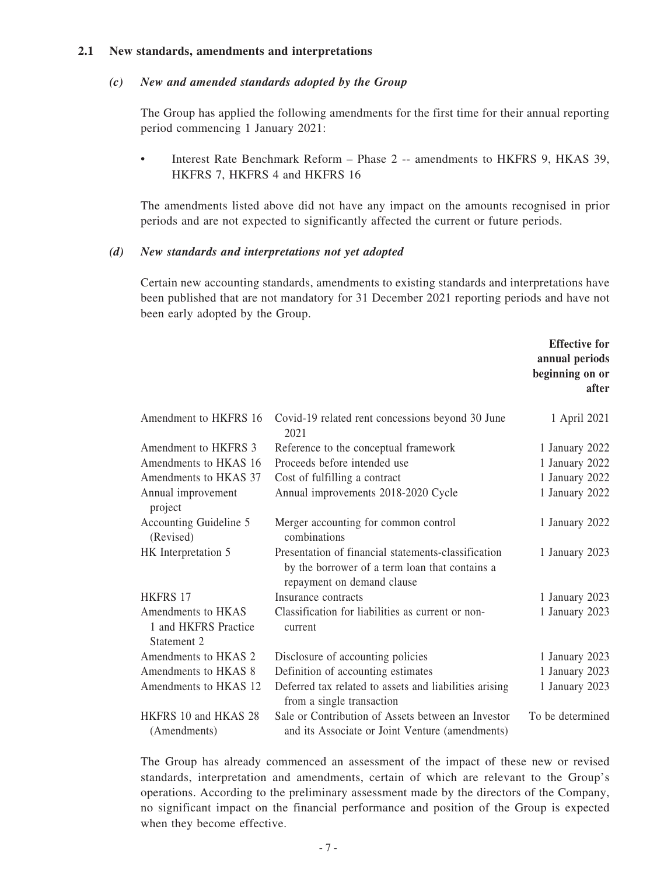#### **2.1 New standards, amendments and interpretations**

#### *(c) New and amended standards adopted by the Group*

The Group has applied the following amendments for the first time for their annual reporting period commencing 1 January 2021:

• Interest Rate Benchmark Reform – Phase 2 -- amendments to HKFRS 9, HKAS 39, HKFRS 7, HKFRS 4 and HKFRS 16

The amendments listed above did not have any impact on the amounts recognised in prior periods and are not expected to significantly affected the current or future periods.

#### *(d) New standards and interpretations not yet adopted*

Certain new accounting standards, amendments to existing standards and interpretations have been published that are not mandatory for 31 December 2021 reporting periods and have not been early adopted by the Group.

|                                                           |                                                                                                                                     | <b>Effective for</b><br>annual periods<br>beginning on or<br>after |
|-----------------------------------------------------------|-------------------------------------------------------------------------------------------------------------------------------------|--------------------------------------------------------------------|
| Amendment to HKFRS 16                                     | Covid-19 related rent concessions beyond 30 June<br>2021                                                                            | 1 April 2021                                                       |
| Amendment to HKFRS 3                                      | Reference to the conceptual framework                                                                                               | 1 January 2022                                                     |
| Amendments to HKAS 16                                     | Proceeds before intended use                                                                                                        | 1 January 2022                                                     |
| Amendments to HKAS 37                                     | Cost of fulfilling a contract                                                                                                       | 1 January 2022                                                     |
| Annual improvement<br>project                             | Annual improvements 2018-2020 Cycle                                                                                                 | 1 January 2022                                                     |
| Accounting Guideline 5<br>(Revised)                       | Merger accounting for common control<br>combinations                                                                                | 1 January 2022                                                     |
| HK Interpretation 5                                       | Presentation of financial statements-classification<br>by the borrower of a term loan that contains a<br>repayment on demand clause | 1 January 2023                                                     |
| <b>HKFRS 17</b>                                           | Insurance contracts                                                                                                                 | 1 January 2023                                                     |
| Amendments to HKAS<br>1 and HKFRS Practice<br>Statement 2 | Classification for liabilities as current or non-<br>current                                                                        | 1 January 2023                                                     |
| Amendments to HKAS 2                                      | Disclosure of accounting policies                                                                                                   | 1 January 2023                                                     |
| Amendments to HKAS 8                                      | Definition of accounting estimates                                                                                                  | 1 January 2023                                                     |
| Amendments to HKAS 12                                     | Deferred tax related to assets and liabilities arising<br>from a single transaction                                                 | 1 January 2023                                                     |
| HKFRS 10 and HKAS 28<br>(Amendments)                      | Sale or Contribution of Assets between an Investor<br>and its Associate or Joint Venture (amendments)                               | To be determined                                                   |

The Group has already commenced an assessment of the impact of these new or revised standards, interpretation and amendments, certain of which are relevant to the Group's operations. According to the preliminary assessment made by the directors of the Company, no significant impact on the financial performance and position of the Group is expected when they become effective.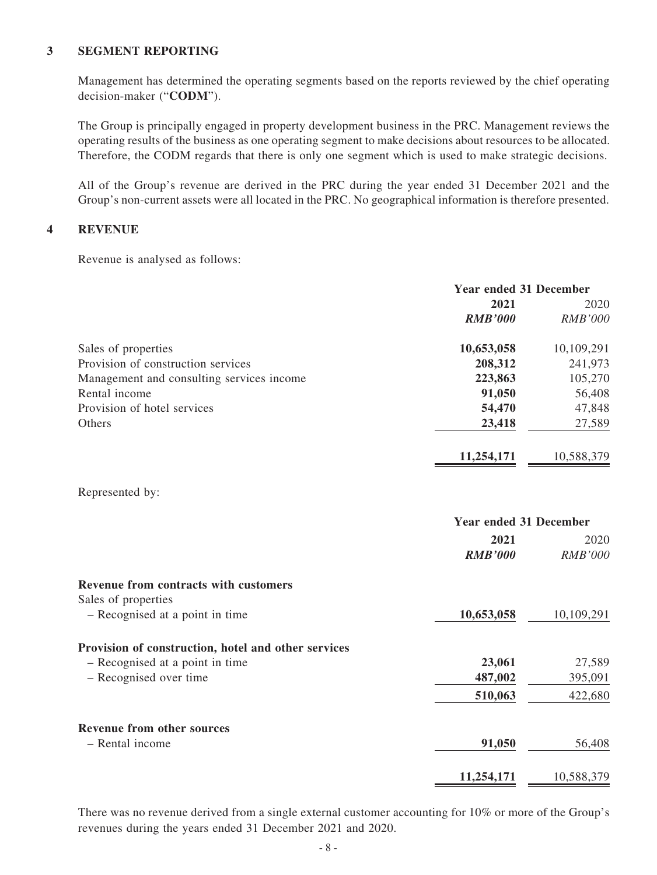#### **3 SEGMENT REPORTING**

Management has determined the operating segments based on the reports reviewed by the chief operating decision-maker ("**CODM**").

The Group is principally engaged in property development business in the PRC. Management reviews the operating results of the business as one operating segment to make decisions about resources to be allocated. Therefore, the CODM regards that there is only one segment which is used to make strategic decisions.

All of the Group's revenue are derived in the PRC during the year ended 31 December 2021 and the Group's non-current assets were all located in the PRC. No geographical information is therefore presented.

#### **4 REVENUE**

Revenue is analysed as follows:

|                                           | <b>Year ended 31 December</b> |                |
|-------------------------------------------|-------------------------------|----------------|
|                                           | 2021                          | 2020           |
|                                           | <b>RMB'000</b>                | <b>RMB'000</b> |
| Sales of properties                       | 10,653,058                    | 10,109,291     |
| Provision of construction services        | 208,312                       | 241,973        |
| Management and consulting services income | 223,863                       | 105,270        |
| Rental income                             | 91,050                        | 56,408         |
| Provision of hotel services               | 54,470                        | 47,848         |
| Others                                    | 23,418                        | 27,589         |
|                                           | 11,254,171                    | 10,588,379     |
| Represented by:                           |                               |                |

|                                                     | <b>Year ended 31 December</b> |                |
|-----------------------------------------------------|-------------------------------|----------------|
|                                                     | 2021                          | 2020           |
|                                                     | <b>RMB'000</b>                | <i>RMB'000</i> |
| <b>Revenue from contracts with customers</b>        |                               |                |
| Sales of properties                                 |                               |                |
| - Recognised at a point in time                     | 10,653,058                    | 10,109,291     |
| Provision of construction, hotel and other services |                               |                |
| - Recognised at a point in time                     | 23,061                        | 27,589         |
| - Recognised over time                              | 487,002                       | 395,091        |
|                                                     | 510,063                       | 422,680        |
| <b>Revenue from other sources</b>                   |                               |                |
| - Rental income                                     | 91,050                        | 56,408         |
|                                                     | 11,254,171                    | 10,588,379     |

There was no revenue derived from a single external customer accounting for 10% or more of the Group's revenues during the years ended 31 December 2021 and 2020.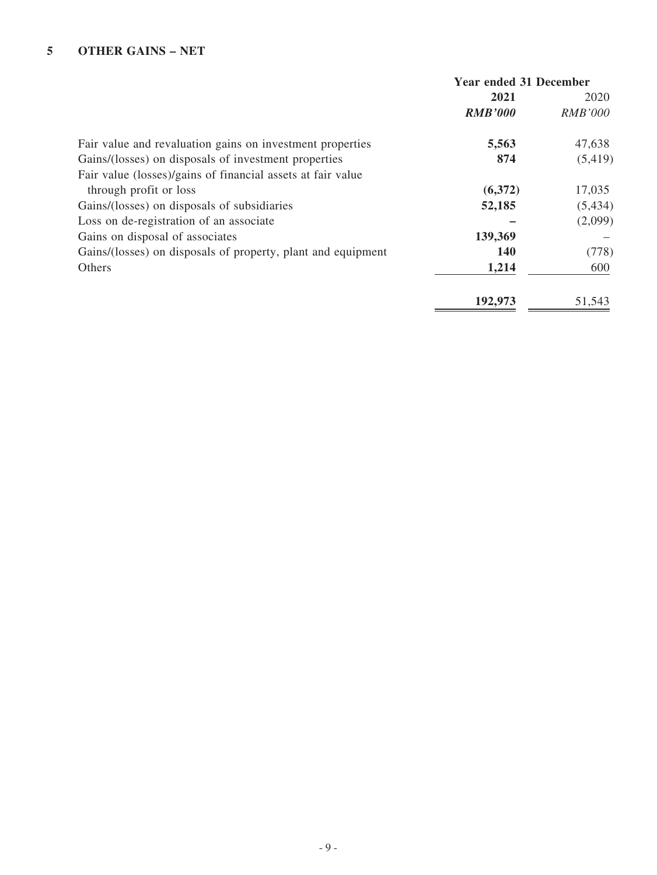|                                                              | <b>Year ended 31 December</b> |                |
|--------------------------------------------------------------|-------------------------------|----------------|
|                                                              | 2021                          | 2020           |
|                                                              | <b>RMB'000</b>                | <i>RMB'000</i> |
| Fair value and revaluation gains on investment properties    | 5,563                         | 47,638         |
| Gains/(losses) on disposals of investment properties         | 874                           | (5, 419)       |
| Fair value (losses)/gains of financial assets at fair value  |                               |                |
| through profit or loss                                       | (6,372)                       | 17,035         |
| Gains/(losses) on disposals of subsidiaries                  | 52,185                        | (5, 434)       |
| Loss on de-registration of an associate                      |                               | (2,099)        |
| Gains on disposal of associates                              | 139,369                       |                |
| Gains/(losses) on disposals of property, plant and equipment | 140                           | (778)          |
| Others                                                       | 1,214                         | 600            |
|                                                              | 192,973                       | 51,543         |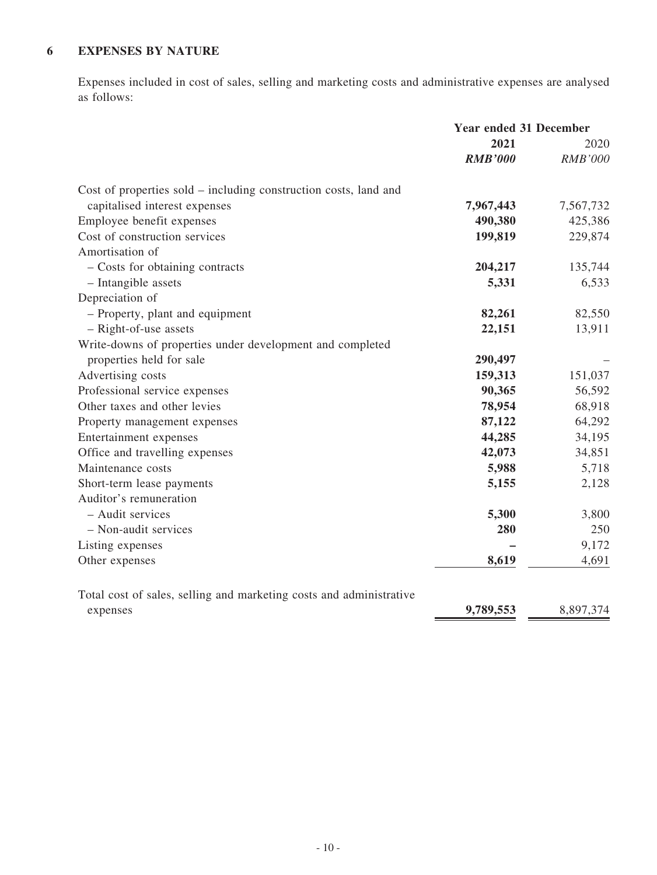# **6 EXPENSES BY NATURE**

Expenses included in cost of sales, selling and marketing costs and administrative expenses are analysed as follows:

|                                                                     | <b>Year ended 31 December</b> |                |
|---------------------------------------------------------------------|-------------------------------|----------------|
|                                                                     | 2021                          | 2020           |
|                                                                     | <b>RMB'000</b>                | <b>RMB'000</b> |
| Cost of properties sold – including construction costs, land and    |                               |                |
| capitalised interest expenses                                       | 7,967,443                     | 7,567,732      |
| Employee benefit expenses                                           | 490,380                       | 425,386        |
| Cost of construction services                                       | 199,819                       | 229,874        |
| Amortisation of                                                     |                               |                |
| - Costs for obtaining contracts                                     | 204,217                       | 135,744        |
| - Intangible assets                                                 | 5,331                         | 6,533          |
| Depreciation of                                                     |                               |                |
| - Property, plant and equipment                                     | 82,261                        | 82,550         |
| - Right-of-use assets                                               | 22,151                        | 13,911         |
| Write-downs of properties under development and completed           |                               |                |
| properties held for sale                                            | 290,497                       |                |
| Advertising costs                                                   | 159,313                       | 151,037        |
| Professional service expenses                                       | 90,365                        | 56,592         |
| Other taxes and other levies                                        | 78,954                        | 68,918         |
| Property management expenses                                        | 87,122                        | 64,292         |
| Entertainment expenses                                              | 44,285                        | 34,195         |
| Office and travelling expenses                                      | 42,073                        | 34,851         |
| Maintenance costs                                                   | 5,988                         | 5,718          |
| Short-term lease payments                                           | 5,155                         | 2,128          |
| Auditor's remuneration                                              |                               |                |
| - Audit services                                                    | 5,300                         | 3,800          |
| - Non-audit services                                                | 280                           | 250            |
| Listing expenses                                                    |                               | 9,172          |
| Other expenses                                                      | 8,619                         | 4,691          |
| Total cost of sales, selling and marketing costs and administrative |                               |                |
| expenses                                                            | 9,789,553                     | 8,897,374      |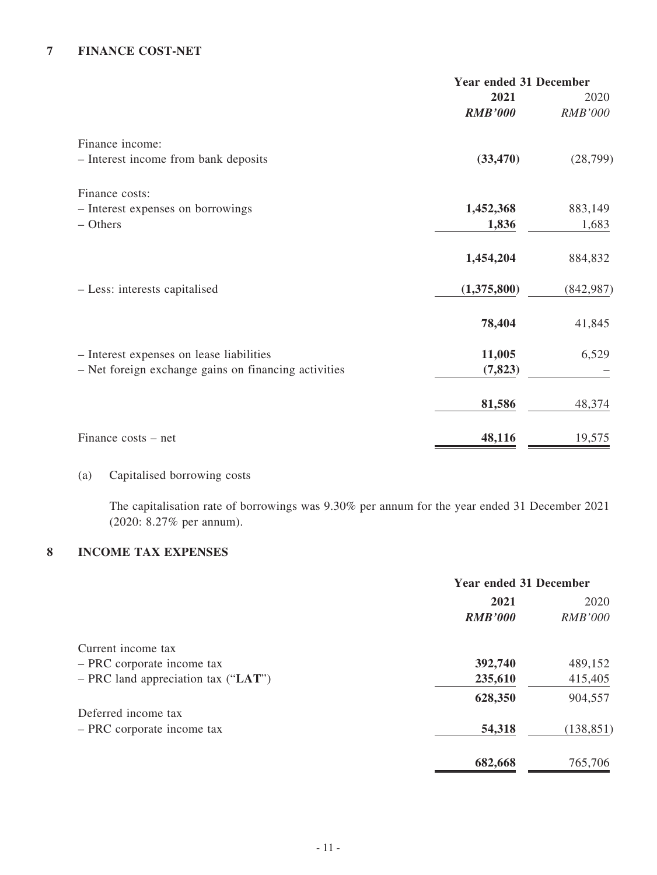### **7 FINANCE COST-NET**

|                                                      | <b>Year ended 31 December</b> |                |
|------------------------------------------------------|-------------------------------|----------------|
|                                                      | 2021                          | 2020           |
|                                                      | <b>RMB'000</b>                | <b>RMB'000</b> |
| Finance income:                                      |                               |                |
| - Interest income from bank deposits                 | (33, 470)                     | (28, 799)      |
| Finance costs:                                       |                               |                |
| - Interest expenses on borrowings                    | 1,452,368                     | 883,149        |
| $-$ Others                                           | 1,836                         | 1,683          |
|                                                      | 1,454,204                     | 884,832        |
| - Less: interests capitalised                        | (1,375,800)                   | (842, 987)     |
|                                                      | 78,404                        | 41,845         |
| - Interest expenses on lease liabilities             | 11,005                        | 6,529          |
| - Net foreign exchange gains on financing activities | (7, 823)                      |                |
|                                                      | 81,586                        | 48,374         |
| Finance costs – net                                  | 48,116                        | 19,575         |

(a) Capitalised borrowing costs

The capitalisation rate of borrowings was 9.30% per annum for the year ended 31 December 2021 (2020: 8.27% per annum).

# **8 INCOME TAX EXPENSES**

|                                       | <b>Year ended 31 December</b> |                |
|---------------------------------------|-------------------------------|----------------|
|                                       | 2021                          | 2020           |
|                                       | <b>RMB'000</b>                | <b>RMB'000</b> |
| Current income tax                    |                               |                |
| - PRC corporate income tax            | 392,740                       | 489,152        |
| $-$ PRC land appreciation tax ("LAT") | 235,610                       | 415,405        |
|                                       | 628,350                       | 904,557        |
| Deferred income tax                   |                               |                |
| - PRC corporate income tax            | 54,318                        | (138, 851)     |
|                                       | 682,668                       | 765,706        |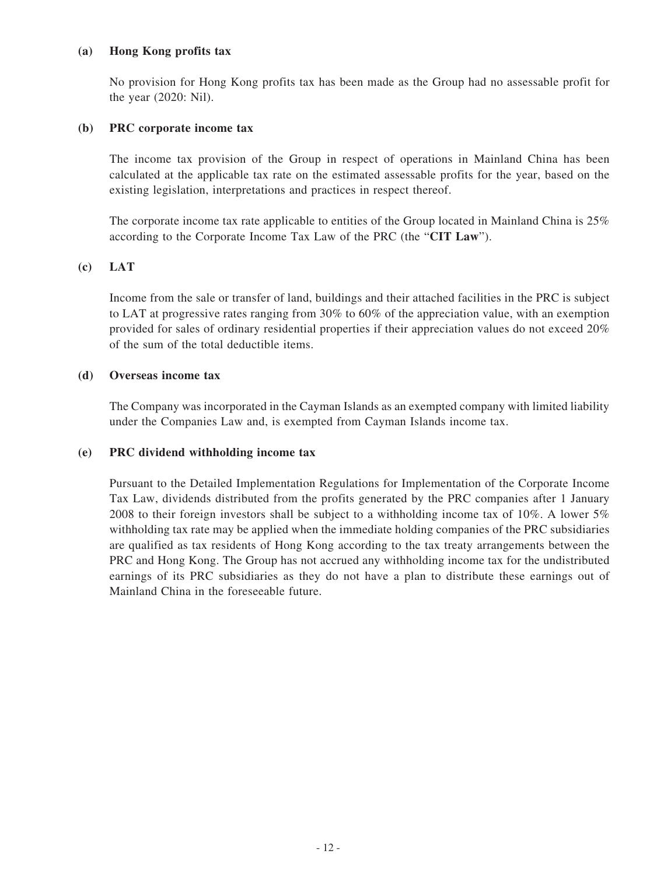#### **(a) Hong Kong profits tax**

No provision for Hong Kong profits tax has been made as the Group had no assessable profit for the year (2020: Nil).

#### **(b) PRC corporate income tax**

The income tax provision of the Group in respect of operations in Mainland China has been calculated at the applicable tax rate on the estimated assessable profits for the year, based on the existing legislation, interpretations and practices in respect thereof.

The corporate income tax rate applicable to entities of the Group located in Mainland China is 25% according to the Corporate Income Tax Law of the PRC (the "**CIT Law**").

#### **(c) LAT**

Income from the sale or transfer of land, buildings and their attached facilities in the PRC is subject to LAT at progressive rates ranging from 30% to 60% of the appreciation value, with an exemption provided for sales of ordinary residential properties if their appreciation values do not exceed 20% of the sum of the total deductible items.

#### **(d) Overseas income tax**

The Company was incorporated in the Cayman Islands as an exempted company with limited liability under the Companies Law and, is exempted from Cayman Islands income tax.

#### **(e) PRC dividend withholding income tax**

Pursuant to the Detailed Implementation Regulations for Implementation of the Corporate Income Tax Law, dividends distributed from the profits generated by the PRC companies after 1 January 2008 to their foreign investors shall be subject to a withholding income tax of 10%. A lower 5% withholding tax rate may be applied when the immediate holding companies of the PRC subsidiaries are qualified as tax residents of Hong Kong according to the tax treaty arrangements between the PRC and Hong Kong. The Group has not accrued any withholding income tax for the undistributed earnings of its PRC subsidiaries as they do not have a plan to distribute these earnings out of Mainland China in the foreseeable future.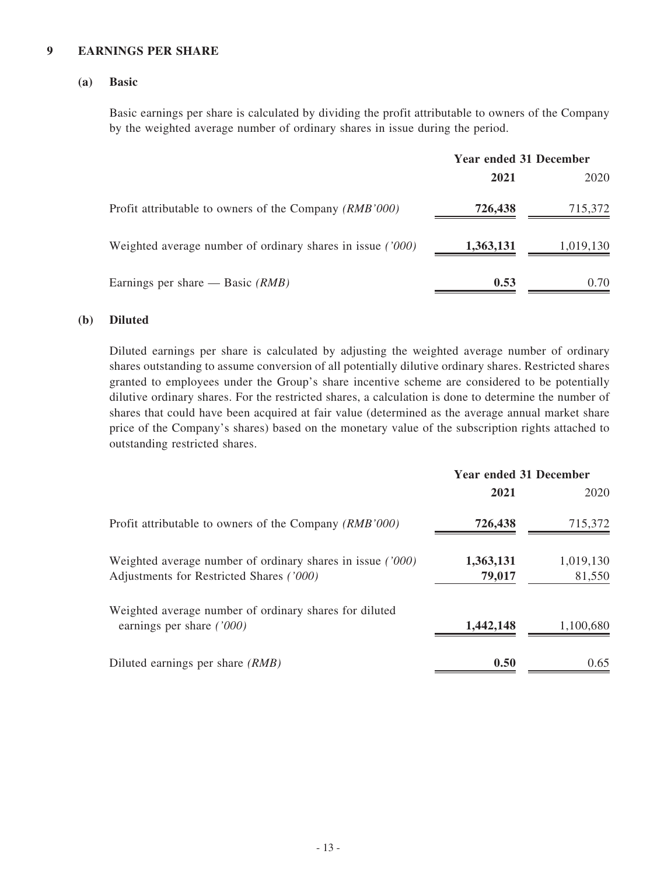#### **9 EARNINGS PER SHARE**

#### **(a) Basic**

Basic earnings per share is calculated by dividing the profit attributable to owners of the Company by the weighted average number of ordinary shares in issue during the period.

|                                                            | <b>Year ended 31 December</b> |           |
|------------------------------------------------------------|-------------------------------|-----------|
|                                                            | 2021                          | 2020      |
| Profit attributable to owners of the Company (RMB'000)     | 726,438                       | 715,372   |
| Weighted average number of ordinary shares in issue ('000) | 1,363,131                     | 1,019,130 |
| Earnings per share — Basic $(RMB)$                         | 0.53                          | 0.70      |

#### **(b) Diluted**

Diluted earnings per share is calculated by adjusting the weighted average number of ordinary shares outstanding to assume conversion of all potentially dilutive ordinary shares. Restricted shares granted to employees under the Group's share incentive scheme are considered to be potentially dilutive ordinary shares. For the restricted shares, a calculation is done to determine the number of shares that could have been acquired at fair value (determined as the average annual market share price of the Company's shares) based on the monetary value of the subscription rights attached to outstanding restricted shares.

|                                                                                                          | <b>Year ended 31 December</b> |                     |
|----------------------------------------------------------------------------------------------------------|-------------------------------|---------------------|
|                                                                                                          | 2021                          | 2020                |
| Profit attributable to owners of the Company (RMB'000)                                                   | 726,438                       | 715,372             |
| Weighted average number of ordinary shares in issue $(7000)$<br>Adjustments for Restricted Shares ('000) | 1,363,131<br>79,017           | 1,019,130<br>81,550 |
| Weighted average number of ordinary shares for diluted<br>earnings per share $(7000)$                    | 1,442,148                     | 1,100,680           |
| Diluted earnings per share (RMB)                                                                         | 0.50                          | 0.65                |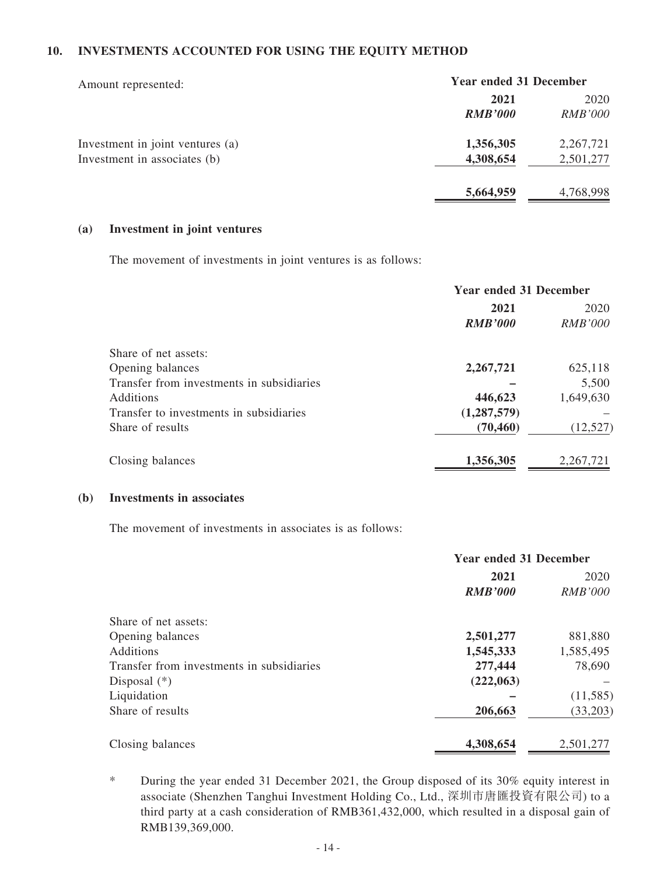#### **10. INVESTMENTS ACCOUNTED FOR USING THE EQUITY METHOD**

| Amount represented:              | <b>Year ended 31 December</b> |                |
|----------------------------------|-------------------------------|----------------|
|                                  | 2021                          | 2020           |
|                                  | <b>RMB'000</b>                | <i>RMB'000</i> |
| Investment in joint ventures (a) | 1,356,305                     | 2,267,721      |
| Investment in associates (b)     | 4,308,654                     | 2,501,277      |
|                                  | 5,664,959                     | 4,768,998      |

#### **(a) Investment in joint ventures**

The movement of investments in joint ventures is as follows:

|                                           | <b>Year ended 31 December</b> |                |
|-------------------------------------------|-------------------------------|----------------|
|                                           | 2021                          | 2020           |
|                                           | <b>RMB'000</b>                | <i>RMB'000</i> |
| Share of net assets:                      |                               |                |
| Opening balances                          | 2,267,721                     | 625,118        |
| Transfer from investments in subsidiaries |                               | 5,500          |
| <b>Additions</b>                          | 446,623                       | 1,649,630      |
| Transfer to investments in subsidiaries   | (1,287,579)                   |                |
| Share of results                          | (70, 460)                     | (12, 527)      |
| Closing balances                          | 1,356,305                     | 2,267,721      |

#### **(b) Investments in associates**

The movement of investments in associates is as follows:

|                                           | <b>Year ended 31 December</b> |                |
|-------------------------------------------|-------------------------------|----------------|
|                                           | 2021                          | 2020           |
|                                           | <b>RMB'000</b>                | <b>RMB'000</b> |
| Share of net assets:                      |                               |                |
| Opening balances                          | 2,501,277                     | 881,880        |
| <b>Additions</b>                          | 1,545,333                     | 1,585,495      |
| Transfer from investments in subsidiaries | 277,444                       | 78,690         |
| Disposal $(*)$                            | (222,063)                     |                |
| Liquidation                               |                               | (11, 585)      |
| Share of results                          | 206,663                       | (33,203)       |
| Closing balances                          | 4,308,654                     | 2,501,277      |

\* During the year ended 31 December 2021, the Group disposed of its 30% equity interest in associate (Shenzhen Tanghui Investment Holding Co., Ltd., 深圳市唐匯投資有限公司) to a third party at a cash consideration of RMB361,432,000, which resulted in a disposal gain of RMB139,369,000.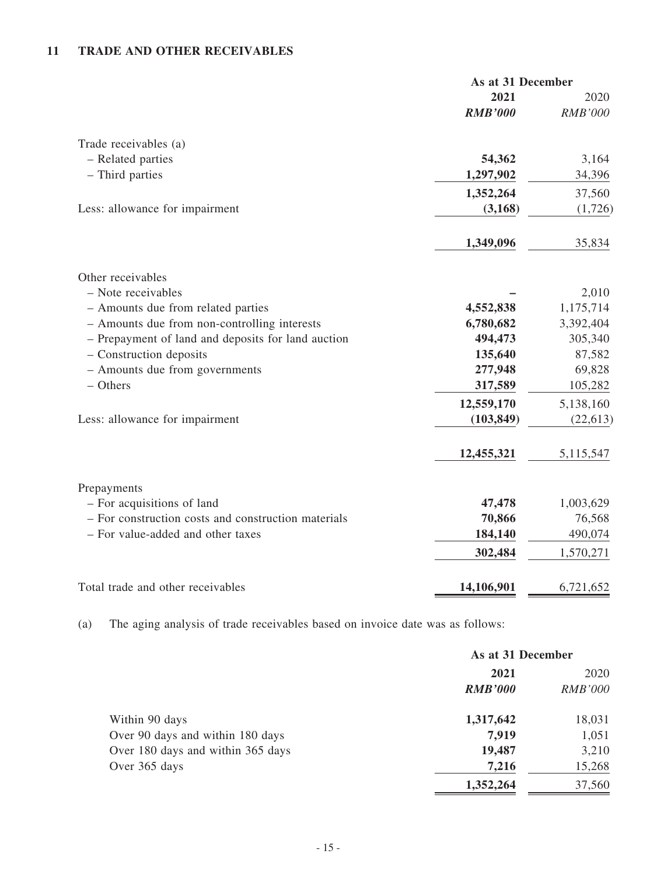# **11 TRADE AND OTHER RECEIVABLES**

|                                                     | As at 31 December      |                        |
|-----------------------------------------------------|------------------------|------------------------|
|                                                     | 2021<br><b>RMB'000</b> | 2020<br><b>RMB'000</b> |
| Trade receivables (a)                               |                        |                        |
| - Related parties                                   | 54,362                 | 3,164                  |
| - Third parties                                     | 1,297,902              | 34,396                 |
|                                                     | 1,352,264              | 37,560                 |
| Less: allowance for impairment                      | (3,168)                | (1,726)                |
|                                                     | 1,349,096              | 35,834                 |
| Other receivables                                   |                        |                        |
| - Note receivables                                  |                        | 2,010                  |
| - Amounts due from related parties                  | 4,552,838              | 1,175,714              |
| - Amounts due from non-controlling interests        | 6,780,682              | 3,392,404              |
| - Prepayment of land and deposits for land auction  | 494,473                | 305,340                |
| - Construction deposits                             | 135,640                | 87,582                 |
| - Amounts due from governments                      | 277,948                | 69,828                 |
| $-$ Others                                          | 317,589                | 105,282                |
|                                                     | 12,559,170             | 5,138,160              |
| Less: allowance for impairment                      | (103, 849)             | (22, 613)              |
|                                                     | 12,455,321             | 5,115,547              |
| Prepayments                                         |                        |                        |
| - For acquisitions of land                          | 47,478                 | 1,003,629              |
| - For construction costs and construction materials | 70,866                 | 76,568                 |
| - For value-added and other taxes                   | 184,140                | 490,074                |
|                                                     | 302,484                | 1,570,271              |
| Total trade and other receivables                   | 14,106,901             | 6,721,652              |

(a) The aging analysis of trade receivables based on invoice date was as follows:

|                                   | As at 31 December |                |
|-----------------------------------|-------------------|----------------|
|                                   | 2021              | 2020           |
|                                   | <b>RMB'000</b>    | <i>RMB'000</i> |
| Within 90 days                    | 1,317,642         | 18,031         |
| Over 90 days and within 180 days  | 7,919             | 1,051          |
| Over 180 days and within 365 days | 19,487            | 3,210          |
| Over 365 days                     | 7,216             | 15,268         |
|                                   | 1,352,264         | 37,560         |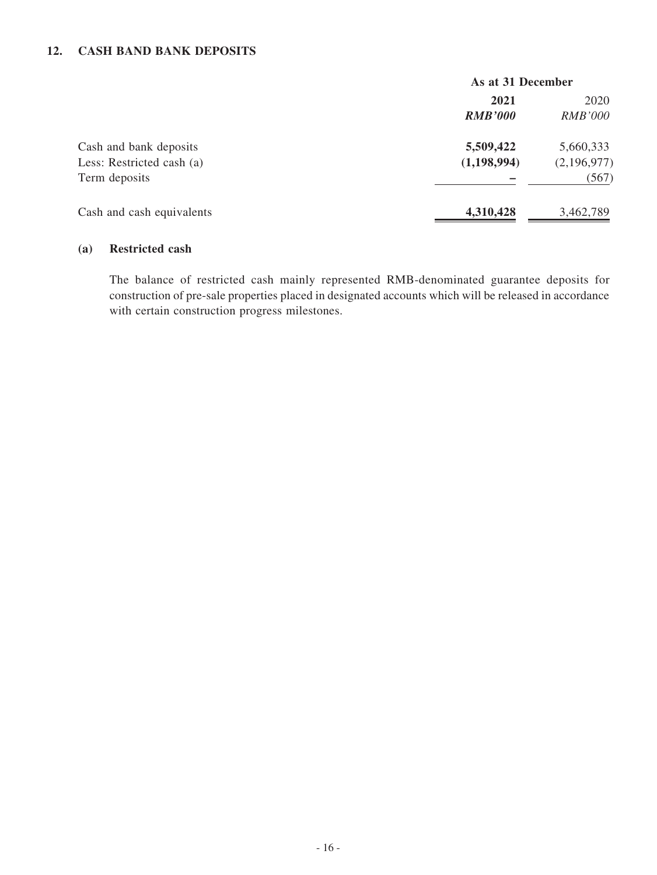#### **12. CASH BAND BANK DEPOSITS**

|                           | As at 31 December |                |
|---------------------------|-------------------|----------------|
|                           | 2021              | 2020           |
|                           | <b>RMB'000</b>    | <b>RMB'000</b> |
| Cash and bank deposits    | 5,509,422         | 5,660,333      |
| Less: Restricted cash (a) | (1,198,994)       | (2,196,977)    |
| Term deposits             |                   | (567)          |
| Cash and cash equivalents | 4,310,428         | 3,462,789      |

#### **(a) Restricted cash**

The balance of restricted cash mainly represented RMB-denominated guarantee deposits for construction of pre-sale properties placed in designated accounts which will be released in accordance with certain construction progress milestones.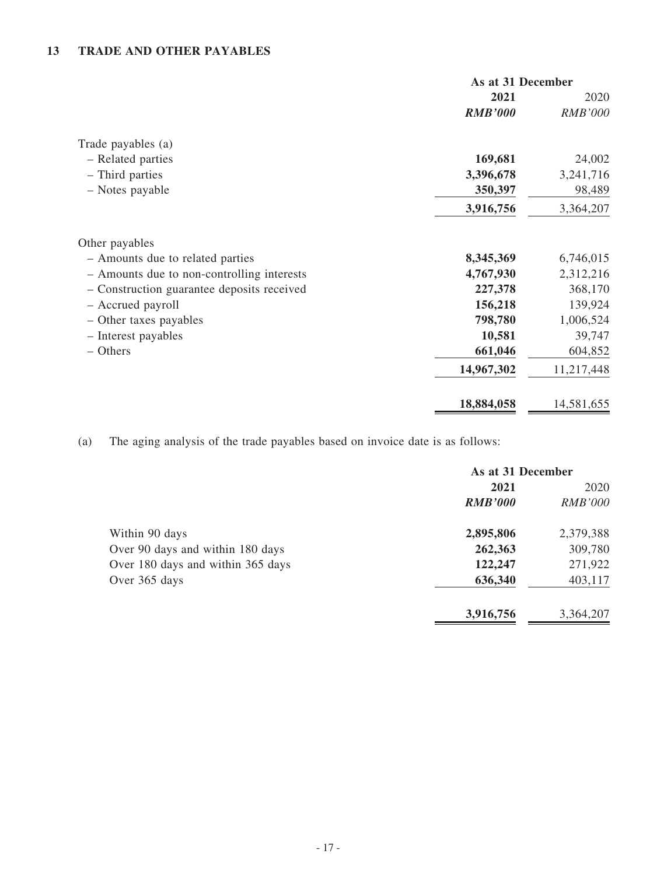## **13 TRADE AND OTHER PAYABLES**

|                                            | As at 31 December |                |
|--------------------------------------------|-------------------|----------------|
|                                            | 2021              | 2020           |
|                                            | <b>RMB'000</b>    | <b>RMB'000</b> |
| Trade payables (a)                         |                   |                |
| - Related parties                          | 169,681           | 24,002         |
| - Third parties                            | 3,396,678         | 3,241,716      |
| - Notes payable                            | 350,397           | 98,489         |
|                                            | 3,916,756         | 3,364,207      |
| Other payables                             |                   |                |
| - Amounts due to related parties           | 8,345,369         | 6,746,015      |
| - Amounts due to non-controlling interests | 4,767,930         | 2,312,216      |
| - Construction guarantee deposits received | 227,378           | 368,170        |
| - Accrued payroll                          | 156,218           | 139,924        |
| - Other taxes payables                     | 798,780           | 1,006,524      |
| - Interest payables                        | 10,581            | 39,747         |
| – Others                                   | 661,046           | 604,852        |
|                                            | 14,967,302        | 11,217,448     |
|                                            | 18,884,058        | 14,581,655     |

(a) The aging analysis of the trade payables based on invoice date is as follows:

|                                   | As at 31 December |                |
|-----------------------------------|-------------------|----------------|
|                                   | 2021              | 2020           |
|                                   | <b>RMB'000</b>    | <b>RMB'000</b> |
| Within 90 days                    | 2,895,806         | 2,379,388      |
| Over 90 days and within 180 days  | 262,363           | 309,780        |
| Over 180 days and within 365 days | 122,247           | 271,922        |
| Over 365 days                     | 636,340           | 403,117        |
|                                   | 3,916,756         | 3,364,207      |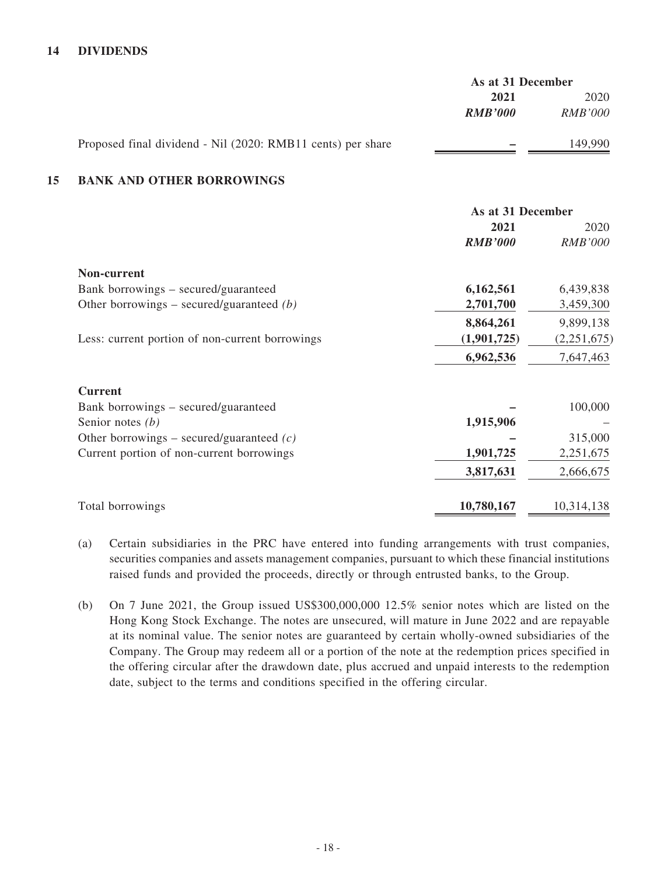#### **14 DIVIDENDS**

|    |                                                             | As at 31 December |                |
|----|-------------------------------------------------------------|-------------------|----------------|
|    |                                                             | 2021              | 2020           |
|    |                                                             | <b>RMB'000</b>    | <i>RMB'000</i> |
|    | Proposed final dividend - Nil (2020: RMB11 cents) per share |                   | 149,990        |
| 15 | <b>BANK AND OTHER BORROWINGS</b>                            |                   |                |
|    |                                                             | As at 31 December |                |
|    |                                                             | 2021              | 2020           |
|    |                                                             | <b>RMB'000</b>    | <i>RMB'000</i> |
|    | Non-current                                                 |                   |                |
|    | Bank borrowings – secured/guaranteed                        | 6,162,561         | 6,439,838      |
|    | Other borrowings – secured/guaranteed $(b)$                 | 2,701,700         | 3,459,300      |
|    |                                                             | 8,864,261         | 9,899,138      |
|    | Less: current portion of non-current borrowings             | (1,901,725)       | (2,251,675)    |

| <b>Current</b>                              |            |            |
|---------------------------------------------|------------|------------|
| Bank borrowings – secured/guaranteed        |            | 100,000    |
| Senior notes $(b)$                          | 1,915,906  |            |
| Other borrowings – secured/guaranteed $(c)$ |            | 315,000    |
| Current portion of non-current borrowings   | 1,901,725  | 2,251,675  |
|                                             | 3,817,631  | 2,666,675  |
| Total borrowings                            | 10,780,167 | 10,314,138 |

**6,962,536** 7,647,463

- (a) Certain subsidiaries in the PRC have entered into funding arrangements with trust companies, securities companies and assets management companies, pursuant to which these financial institutions raised funds and provided the proceeds, directly or through entrusted banks, to the Group.
- (b) On 7 June 2021, the Group issued US\$300,000,000 12.5% senior notes which are listed on the Hong Kong Stock Exchange. The notes are unsecured, will mature in June 2022 and are repayable at its nominal value. The senior notes are guaranteed by certain wholly-owned subsidiaries of the Company. The Group may redeem all or a portion of the note at the redemption prices specified in the offering circular after the drawdown date, plus accrued and unpaid interests to the redemption date, subject to the terms and conditions specified in the offering circular.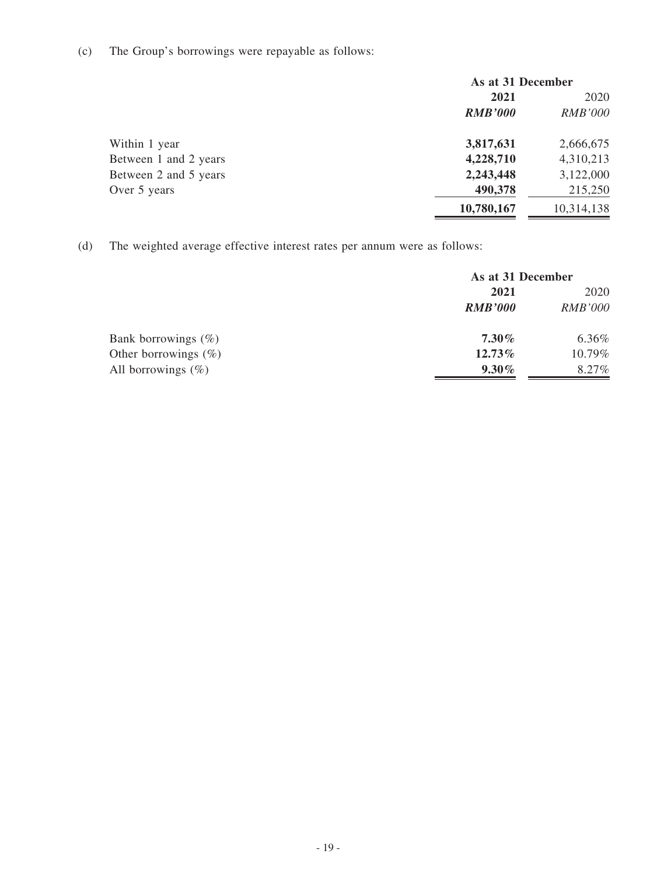# (c) The Group's borrowings were repayable as follows:

|                       | As at 31 December |                |
|-----------------------|-------------------|----------------|
|                       | 2021              | 2020           |
|                       | <b>RMB'000</b>    | <b>RMB'000</b> |
| Within 1 year         | 3,817,631         | 2,666,675      |
| Between 1 and 2 years | 4,228,710         | 4,310,213      |
| Between 2 and 5 years | 2,243,448         | 3,122,000      |
| Over 5 years          | 490,378           | 215,250        |
|                       | 10,780,167        | 10,314,138     |

(d) The weighted average effective interest rates per annum were as follows:

|                         | As at 31 December |                |
|-------------------------|-------------------|----------------|
|                         | 2021              | 2020           |
|                         | <b>RMB'000</b>    | <b>RMB'000</b> |
| Bank borrowings $(\%)$  | $7.30\%$          | 6.36%          |
| Other borrowings $(\%)$ | 12.73%            | 10.79%         |
| All borrowings $(\%)$   | $9.30\%$          | 8.27%          |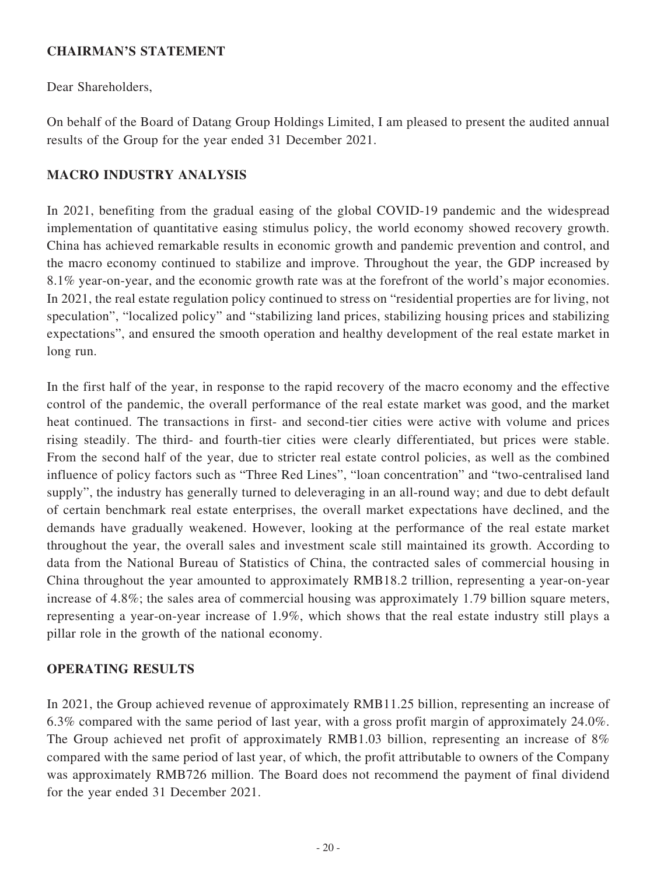#### **CHAIRMAN'S STATEMENT**

Dear Shareholders,

On behalf of the Board of Datang Group Holdings Limited, I am pleased to present the audited annual results of the Group for the year ended 31 December 2021.

### **MACRO INDUSTRY ANALYSIS**

In 2021, benefiting from the gradual easing of the global COVID-19 pandemic and the widespread implementation of quantitative easing stimulus policy, the world economy showed recovery growth. China has achieved remarkable results in economic growth and pandemic prevention and control, and the macro economy continued to stabilize and improve. Throughout the year, the GDP increased by 8.1% year-on-year, and the economic growth rate was at the forefront of the world's major economies. In 2021, the real estate regulation policy continued to stress on "residential properties are for living, not speculation", "localized policy" and "stabilizing land prices, stabilizing housing prices and stabilizing expectations", and ensured the smooth operation and healthy development of the real estate market in long run.

In the first half of the year, in response to the rapid recovery of the macro economy and the effective control of the pandemic, the overall performance of the real estate market was good, and the market heat continued. The transactions in first- and second-tier cities were active with volume and prices rising steadily. The third- and fourth-tier cities were clearly differentiated, but prices were stable. From the second half of the year, due to stricter real estate control policies, as well as the combined influence of policy factors such as "Three Red Lines", "loan concentration" and "two-centralised land supply", the industry has generally turned to deleveraging in an all-round way; and due to debt default of certain benchmark real estate enterprises, the overall market expectations have declined, and the demands have gradually weakened. However, looking at the performance of the real estate market throughout the year, the overall sales and investment scale still maintained its growth. According to data from the National Bureau of Statistics of China, the contracted sales of commercial housing in China throughout the year amounted to approximately RMB18.2 trillion, representing a year-on-year increase of 4.8%; the sales area of commercial housing was approximately 1.79 billion square meters, representing a year-on-year increase of 1.9%, which shows that the real estate industry still plays a pillar role in the growth of the national economy.

### **OPERATING RESULTS**

In 2021, the Group achieved revenue of approximately RMB11.25 billion, representing an increase of 6.3% compared with the same period of last year, with a gross profit margin of approximately 24.0%. The Group achieved net profit of approximately RMB1.03 billion, representing an increase of 8% compared with the same period of last year, of which, the profit attributable to owners of the Company was approximately RMB726 million. The Board does not recommend the payment of final dividend for the year ended 31 December 2021.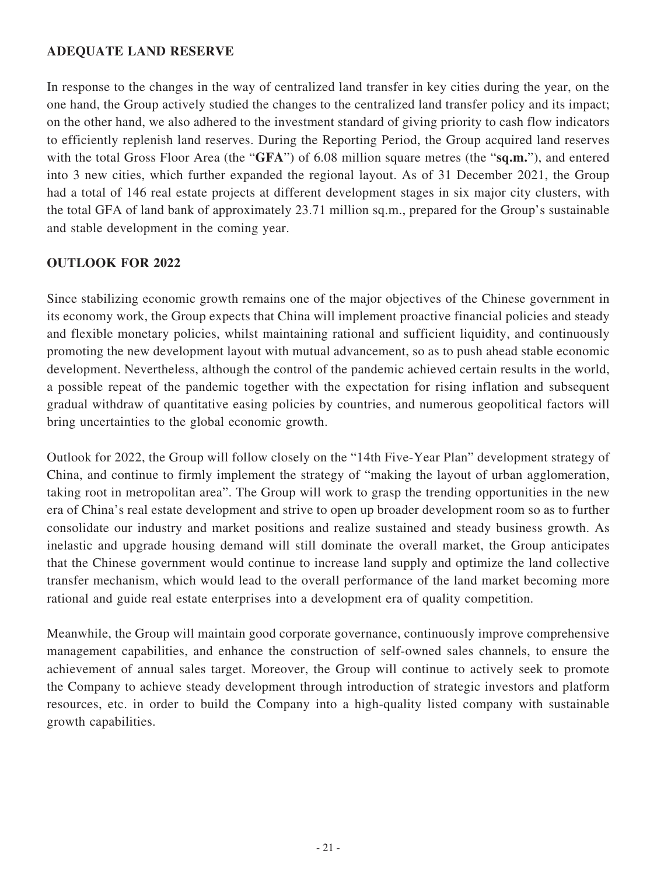### **ADEQUATE LAND RESERVE**

In response to the changes in the way of centralized land transfer in key cities during the year, on the one hand, the Group actively studied the changes to the centralized land transfer policy and its impact; on the other hand, we also adhered to the investment standard of giving priority to cash flow indicators to efficiently replenish land reserves. During the Reporting Period, the Group acquired land reserves with the total Gross Floor Area (the "**GFA**") of 6.08 million square metres (the "**sq.m.**"), and entered into 3 new cities, which further expanded the regional layout. As of 31 December 2021, the Group had a total of 146 real estate projects at different development stages in six major city clusters, with the total GFA of land bank of approximately 23.71 million sq.m., prepared for the Group's sustainable and stable development in the coming year.

### **OUTLOOK FOR 2022**

Since stabilizing economic growth remains one of the major objectives of the Chinese government in its economy work, the Group expects that China will implement proactive financial policies and steady and flexible monetary policies, whilst maintaining rational and sufficient liquidity, and continuously promoting the new development layout with mutual advancement, so as to push ahead stable economic development. Nevertheless, although the control of the pandemic achieved certain results in the world, a possible repeat of the pandemic together with the expectation for rising inflation and subsequent gradual withdraw of quantitative easing policies by countries, and numerous geopolitical factors will bring uncertainties to the global economic growth.

Outlook for 2022, the Group will follow closely on the "14th Five-Year Plan" development strategy of China, and continue to firmly implement the strategy of "making the layout of urban agglomeration, taking root in metropolitan area". The Group will work to grasp the trending opportunities in the new era of China's real estate development and strive to open up broader development room so as to further consolidate our industry and market positions and realize sustained and steady business growth. As inelastic and upgrade housing demand will still dominate the overall market, the Group anticipates that the Chinese government would continue to increase land supply and optimize the land collective transfer mechanism, which would lead to the overall performance of the land market becoming more rational and guide real estate enterprises into a development era of quality competition.

Meanwhile, the Group will maintain good corporate governance, continuously improve comprehensive management capabilities, and enhance the construction of self-owned sales channels, to ensure the achievement of annual sales target. Moreover, the Group will continue to actively seek to promote the Company to achieve steady development through introduction of strategic investors and platform resources, etc. in order to build the Company into a high-quality listed company with sustainable growth capabilities.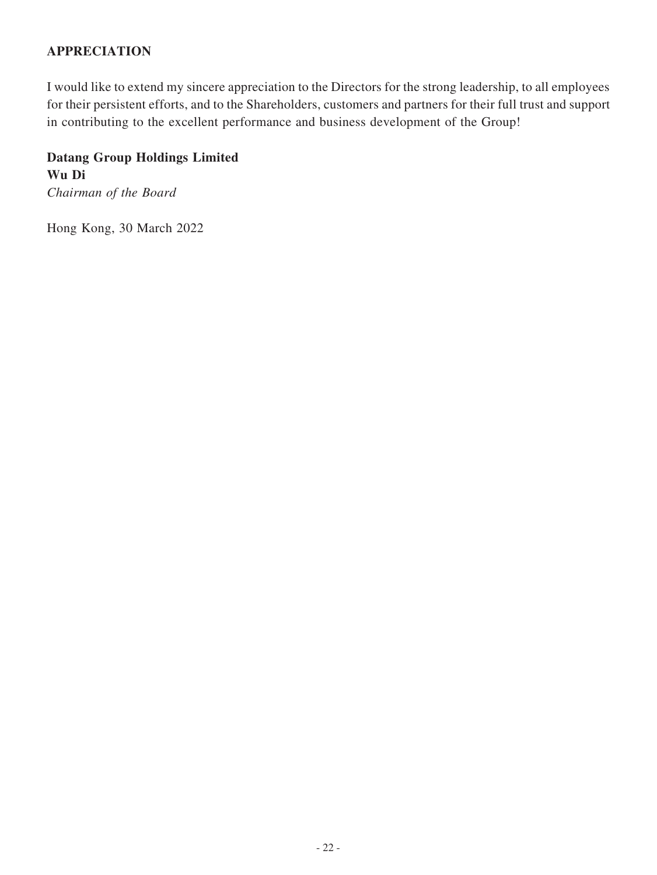### **APPRECIATION**

I would like to extend my sincere appreciation to the Directors for the strong leadership, to all employees for their persistent efforts, and to the Shareholders, customers and partners for their full trust and support in contributing to the excellent performance and business development of the Group!

# **Datang Group Holdings Limited Wu Di** *Chairman of the Board*

Hong Kong, 30 March 2022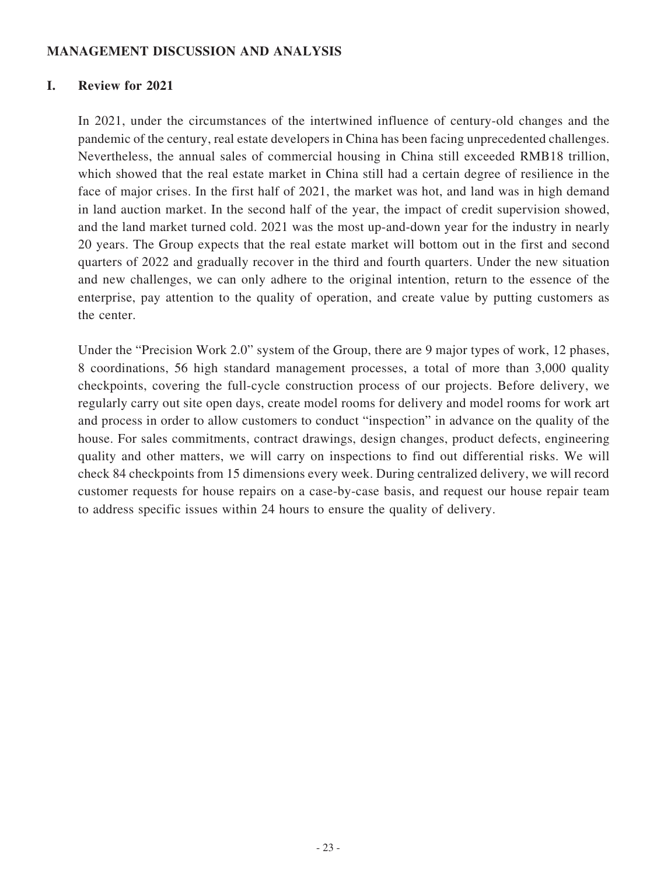#### **MANAGEMENT DISCUSSION AND ANALYSIS**

#### **I. Review for 2021**

In 2021, under the circumstances of the intertwined influence of century-old changes and the pandemic of the century, real estate developers in China has been facing unprecedented challenges. Nevertheless, the annual sales of commercial housing in China still exceeded RMB18 trillion, which showed that the real estate market in China still had a certain degree of resilience in the face of major crises. In the first half of 2021, the market was hot, and land was in high demand in land auction market. In the second half of the year, the impact of credit supervision showed, and the land market turned cold. 2021 was the most up-and-down year for the industry in nearly 20 years. The Group expects that the real estate market will bottom out in the first and second quarters of 2022 and gradually recover in the third and fourth quarters. Under the new situation and new challenges, we can only adhere to the original intention, return to the essence of the enterprise, pay attention to the quality of operation, and create value by putting customers as the center.

Under the "Precision Work 2.0" system of the Group, there are 9 major types of work, 12 phases, 8 coordinations, 56 high standard management processes, a total of more than 3,000 quality checkpoints, covering the full-cycle construction process of our projects. Before delivery, we regularly carry out site open days, create model rooms for delivery and model rooms for work art and process in order to allow customers to conduct "inspection" in advance on the quality of the house. For sales commitments, contract drawings, design changes, product defects, engineering quality and other matters, we will carry on inspections to find out differential risks. We will check 84 checkpoints from 15 dimensions every week. During centralized delivery, we will record customer requests for house repairs on a case-by-case basis, and request our house repair team to address specific issues within 24 hours to ensure the quality of delivery.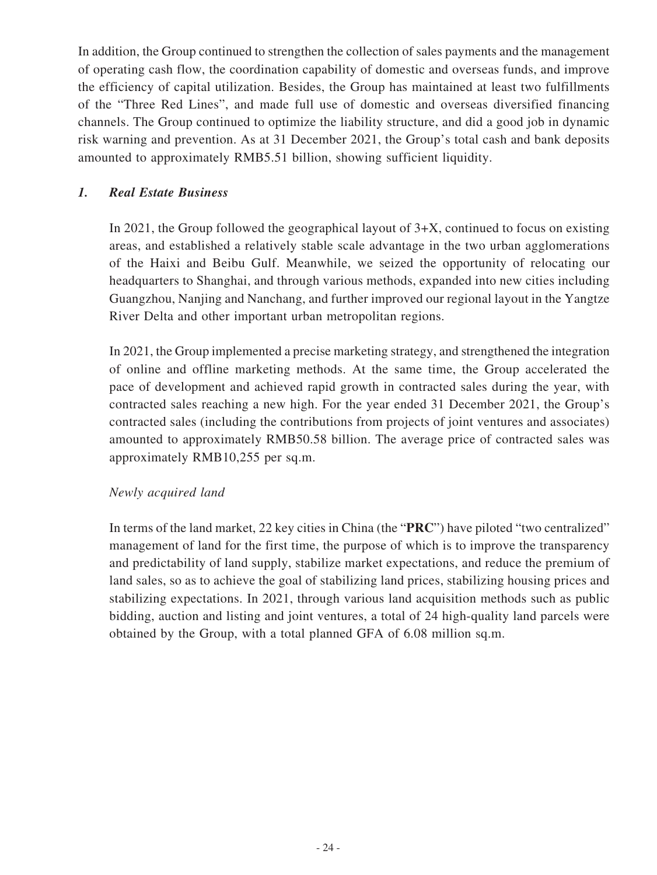In addition, the Group continued to strengthen the collection of sales payments and the management of operating cash flow, the coordination capability of domestic and overseas funds, and improve the efficiency of capital utilization. Besides, the Group has maintained at least two fulfillments of the "Three Red Lines", and made full use of domestic and overseas diversified financing channels. The Group continued to optimize the liability structure, and did a good job in dynamic risk warning and prevention. As at 31 December 2021, the Group's total cash and bank deposits amounted to approximately RMB5.51 billion, showing sufficient liquidity.

### *1. Real Estate Business*

In 2021, the Group followed the geographical layout of 3+X, continued to focus on existing areas, and established a relatively stable scale advantage in the two urban agglomerations of the Haixi and Beibu Gulf. Meanwhile, we seized the opportunity of relocating our headquarters to Shanghai, and through various methods, expanded into new cities including Guangzhou, Nanjing and Nanchang, and further improved our regional layout in the Yangtze River Delta and other important urban metropolitan regions.

In 2021, the Group implemented a precise marketing strategy, and strengthened the integration of online and offline marketing methods. At the same time, the Group accelerated the pace of development and achieved rapid growth in contracted sales during the year, with contracted sales reaching a new high. For the year ended 31 December 2021, the Group's contracted sales (including the contributions from projects of joint ventures and associates) amounted to approximately RMB50.58 billion. The average price of contracted sales was approximately RMB10,255 per sq.m.

### *Newly acquired land*

In terms of the land market, 22 key cities in China (the "**PRC**") have piloted "two centralized" management of land for the first time, the purpose of which is to improve the transparency and predictability of land supply, stabilize market expectations, and reduce the premium of land sales, so as to achieve the goal of stabilizing land prices, stabilizing housing prices and stabilizing expectations. In 2021, through various land acquisition methods such as public bidding, auction and listing and joint ventures, a total of 24 high-quality land parcels were obtained by the Group, with a total planned GFA of 6.08 million sq.m.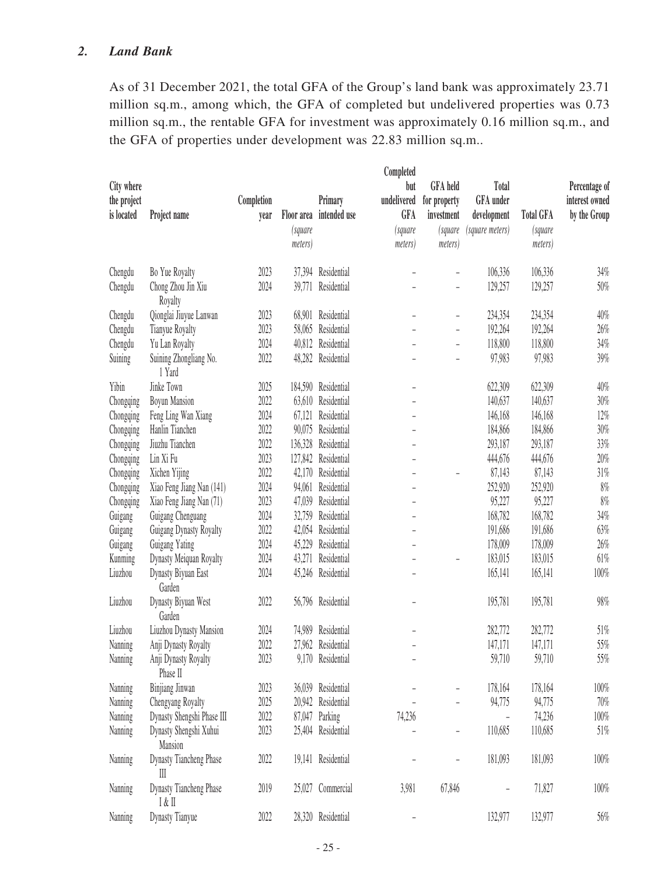### *2. Land Bank*

As of 31 December 2021, the total GFA of the Group's land bank was approximately 23.71 million sq.m., among which, the GFA of completed but undelivered properties was 0.73 million sq.m., the rentable GFA for investment was approximately 0.16 million sq.m., and the GFA of properties under development was 22.83 million sq.m..

| City where<br>the project<br>is located | Project name                                           | Completion<br>year | Floor area<br>(square<br>meters) | Primary<br>intended use | Completed<br>but<br>undelivered<br>GFA<br><i>(square</i><br>meters) | <b>GFA</b> held<br>for property<br>investment<br>(square<br>meters) | Total<br>GFA under<br>development<br>(square meters) | <b>Total GFA</b><br>(square<br>meters) | Percentage of<br>interest owned<br>by the Group |
|-----------------------------------------|--------------------------------------------------------|--------------------|----------------------------------|-------------------------|---------------------------------------------------------------------|---------------------------------------------------------------------|------------------------------------------------------|----------------------------------------|-------------------------------------------------|
| Chengdu                                 | Bo Yue Royalty                                         | 2023               | 37,394                           | Residential             |                                                                     |                                                                     | 106,336                                              | 106,336                                | 34%                                             |
| Chengdu                                 | Chong Zhou Jin Xiu<br>Royalty                          | 2024               | 39,771                           | Residential             |                                                                     |                                                                     | 129,257                                              | 129,257                                | $50\%$                                          |
| Chengdu                                 | Qionglai Jiuyue Lanwan                                 | 2023               | 68,901                           | Residential             | $\overline{a}$                                                      | $\overline{\phantom{0}}$                                            | 234,354                                              | 234,354                                | 40%                                             |
| Chengdu                                 | Tianyue Royalty                                        | 2023               | 58,065                           | Residential             |                                                                     | $\overline{\phantom{0}}$                                            | 192,264                                              | 192,264                                | $26\%$                                          |
| Chengdu                                 | Yu Lan Royalty                                         | 2024               | 40,812                           | Residential             |                                                                     | $\overline{\phantom{0}}$                                            | 118,800                                              | 118,800                                | 34%                                             |
| Suining                                 | Suining Zhongliang No.<br>1 Yard                       | 2022               | 48,282                           | Residential             |                                                                     | $\overline{\phantom{0}}$                                            | 97,983                                               | 97,983                                 | 39%                                             |
| Yibin                                   | Jinke Town                                             | 2025               |                                  | 184,590 Residential     | $\overline{\phantom{a}}$                                            |                                                                     | 622,309                                              | 622,309                                | 40%                                             |
| Chongqing                               | <b>Boyun Mansion</b>                                   | 2022               | 63,610                           | Residential             | $\overline{a}$                                                      |                                                                     | 140,637                                              | 140,637                                | $30\%$                                          |
| Chongqing                               | Feng Ling Wan Xiang                                    | 2024               | 67,121                           | Residential             |                                                                     |                                                                     | 146,168                                              | 146,168                                | 12%                                             |
| Chongqing                               | Hanlin Tianchen                                        | 2022               | 90,075                           | Residential             | ÷,                                                                  |                                                                     | 184,866                                              | 184,866                                | $30\%$                                          |
| Chongqing                               | Jiuzhu Tianchen                                        | 2022               | 136,328                          | Residential             |                                                                     |                                                                     | 293,187                                              | 293,187                                | 33%                                             |
| Chongqing                               | Lin Xi Fu                                              | 2023               | 127,842                          | Residential             |                                                                     |                                                                     | 444,676                                              | 444,676                                | 20%                                             |
| Chongqing                               | Xichen Yijing                                          | 2022               | 42,170                           | Residential             | $\overline{a}$                                                      |                                                                     | 87,143                                               | 87,143                                 | 31%                                             |
| Chongqing                               | Xiao Feng Jiang Nan (141)                              | 2024               | 94,061                           | Residential             | $\overline{\phantom{0}}$                                            |                                                                     | 252,920                                              | 252,920                                | 8%                                              |
| Chongqing                               | Xiao Feng Jiang Nan (71)                               | 2023               | 47,039                           | Residential             | $\overline{\phantom{0}}$                                            |                                                                     | 95,227                                               | 95,227                                 | $8\%$                                           |
| Guigang                                 | Guigang Chenguang                                      | 2024               | 32,759                           | Residential             | $\overline{\phantom{0}}$                                            |                                                                     | 168,782                                              | 168,782                                | 34%                                             |
| Guigang                                 | Guigang Dynasty Royalty                                | 2022               | 42,054                           | Residential             |                                                                     |                                                                     | 191,686                                              | 191,686                                | 63%                                             |
| Guigang                                 | Guigang Yating                                         | 2024               | 45,229                           | Residential             |                                                                     |                                                                     | 178,009                                              | 178,009                                | 26%                                             |
| Kunming                                 | Dynasty Meiquan Royalty                                | 2024               | 43,271                           | Residential             |                                                                     |                                                                     | 183,015                                              | 183,015                                | 61%                                             |
| Liuzhou                                 | Dynasty Biyuan East<br>Garden                          | 2024               | 45,246                           | Residential             |                                                                     |                                                                     | 165,141                                              | 165,141                                | 100%                                            |
| Liuzhou                                 | Dynasty Biyuan West<br>Garden                          | 2022               |                                  | 56,796 Residential      |                                                                     |                                                                     | 195,781                                              | 195,781                                | 98%                                             |
| Liuzhou                                 | Liuzhou Dynasty Mansion                                | 2024               | 74,989                           | Residential             |                                                                     |                                                                     | 282,772                                              | 282,772                                | $51\%$                                          |
| Nanning                                 | Anji Dynasty Royalty                                   | 2022               | 27,962                           | Residential             |                                                                     |                                                                     | 147,171                                              | 147,171                                | 55%                                             |
| Nanning                                 | Anji Dynasty Royalty<br>Phase II                       | 2023               | 9,170                            | Residential             |                                                                     |                                                                     | 59,710                                               | 59,710                                 | 55%                                             |
| Nanning                                 | Binjiang Jinwan                                        | 2023               |                                  | 36,039 Residential      |                                                                     |                                                                     | 178,164                                              | 178,164                                | $100\%$                                         |
| Nanning                                 | Chengyang Royalty                                      | 2025               |                                  | 20,942 Residential      |                                                                     |                                                                     | 94,775                                               | 94,775                                 | $70\%$                                          |
| Nanning                                 | Dynasty Shengshi Phase III                             | 2022               |                                  | 87,047 Parking          | 74,236                                                              |                                                                     | $\overline{a}$                                       | 74,236                                 | 100%                                            |
| Nanning                                 | Dynasty Shengshi Xuhui<br>Mansion                      | 2023               |                                  | 25,404 Residential      |                                                                     |                                                                     | 110,685                                              | 110,685                                | $51\%$                                          |
| Nanning                                 | Dynasty Tiancheng Phase<br>$\mathop{\rm III}\nolimits$ | 2022               |                                  | 19,141 Residential      |                                                                     |                                                                     | 181,093                                              | 181,093                                | $100\%$                                         |
| Nanning                                 | Dynasty Tiancheng Phase<br>I & II                      | 2019               | 25,027                           | Commercial              | 3,981                                                               | 67,846                                                              | ÷,                                                   | 71,827                                 | 100%                                            |
| Nanning                                 | Dynasty Tianyue                                        | 2022               |                                  | 28,320 Residential      | $\overline{\phantom{0}}$                                            |                                                                     | 132,977                                              | 132,977                                | 56%                                             |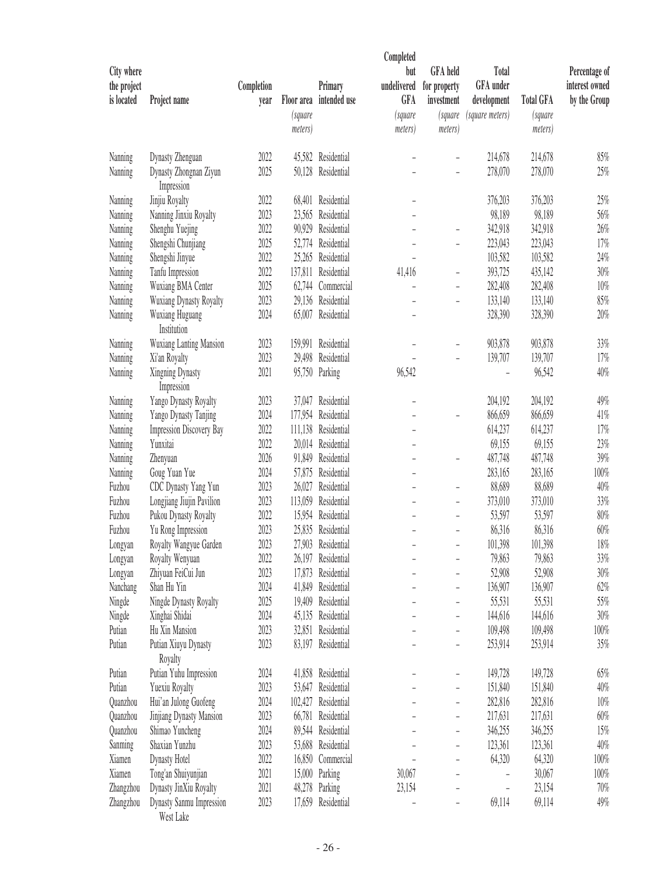| City where<br>the project |                                       | Completion |                    | Primary             | Completed<br>but<br>undelivered | <b>GFA</b> held            | <b>Total</b><br>GFA under      |                    | Percentage of<br>interest owned |
|---------------------------|---------------------------------------|------------|--------------------|---------------------|---------------------------------|----------------------------|--------------------------------|--------------------|---------------------------------|
| is located                | Project name                          |            | Floor area         | intended use        | <b>GFA</b>                      | for property<br>investment |                                | <b>Total GFA</b>   | by the Group                    |
|                           |                                       | year       |                    |                     |                                 |                            | development<br>(square meters) |                    |                                 |
|                           |                                       |            | (square<br>meters) |                     | <i>(square</i><br>meters)       | (square<br>meters)         |                                | (square<br>meters) |                                 |
| Nanning                   | Dynasty Zhenguan                      | 2022       |                    | 45,582 Residential  |                                 |                            | 214,678                        | 214,678            | $85\%$                          |
| Nanning                   | Dynasty Zhongnan Ziyun<br>Impression  | 2025       | 50,128             | Residential         |                                 |                            | 278,070                        | 278,070            | 25%                             |
| Nanning                   | Jinjiu Royalty                        | 2022       | 68,401             | Residential         |                                 |                            | 376,203                        | 376,203            | 25%                             |
| Nanning                   | Nanning Jinxiu Royalty                | 2023       | 23,565             | Residential         | ۳                               |                            | 98,189                         | 98,189             | 56%                             |
| Nanning                   | Shenghu Yuejing                       | 2022       | 90,929             | Residential         |                                 |                            | 342,918                        | 342,918            | 26%                             |
| Nanning                   | Shengshi Chunjiang                    | 2025       | 52,774             | Residential         |                                 |                            | 223,043                        | 223,043            | 17%                             |
| Nanning                   | Shengshi Jinyue                       | 2022       | 25,265             | Residential         |                                 |                            | 103,582                        | 103,582            | 24%                             |
| Nanning                   | Tanfu Impression                      | 2022       | 137,811            | Residential         | 41,416                          | $\overline{\phantom{0}}$   | 393,725                        | 435,142            | 30%                             |
| Nanning                   | Wuxiang BMA Center                    | 2025       | 62,744             | Commercial          |                                 |                            | 282,408                        | 282,408            | 10%                             |
| Nanning                   | Wuxiang Dynasty Royalty               | 2023       |                    | 29,136 Residential  | L,                              | $\overline{a}$             | 133,140                        | 133,140            | 85%                             |
| Nanning                   | Wuxiang Huguang<br>Institution        | 2024       |                    | 65,007 Residential  |                                 |                            | 328,390                        | 328,390            | 20%                             |
| Nanning                   | <b>Wuxiang Lanting Mansion</b>        | 2023       | 159,991            | Residential         |                                 |                            | 903,878                        | 903,878            | 33%                             |
| Nanning                   | Xi'an Royalty                         | 2023       | 29,498             | Residential         |                                 |                            | 139,707                        | 139,707            | 17%                             |
| Nanning                   | Xingning Dynasty<br>Impression        | 2021       |                    | 95,750 Parking      | 96,542                          |                            |                                | 96,542             | 40%                             |
| Nanning                   | Yango Dynasty Royalty                 | 2023       | 37,047             | Residential         |                                 |                            | 204,192                        | 204,192            | 49%                             |
| Nanning                   | Yango Dynasty Tanjing                 | 2024       | 177,954            | Residential         |                                 |                            | 866,659                        | 866,659            | 41%                             |
| Nanning                   | <b>Impression Discovery Bay</b>       | 2022       | 111,138            | Residential         |                                 |                            | 614,237                        | 614,237            | 17%                             |
| Nanning                   | Yunxitai                              | 2022       |                    | 20,014 Residential  | $\overline{a}$                  |                            | 69,155                         | 69,155             | 23%                             |
| Nanning                   | Zhenyuan                              | 2026       | 91,849             | Residential         |                                 |                            | 487,748                        | 487,748            | 39%                             |
| Nanning                   | Goug Yuan Yue                         | 2024       | 57,875             | Residential         | ۳                               |                            | 283,165                        | 283,165            | 100%                            |
| Fuzhou                    | CDC Dynasty Yang Yun                  | 2023       | 26,027             | Residential         |                                 |                            | 88,689                         | 88,689             | 40%                             |
| Fuzhou                    | Longjiang Jiujin Pavilion             | 2023       | 113,059            | Residential         |                                 | $\overline{a}$             | 373,010                        | 373,010            | 33%                             |
| Fuzhou                    | Pukou Dynasty Royalty                 | 2022       | 15,954             | Residential         |                                 | $\overline{\phantom{0}}$   | 53,597                         | 53,597             | 80%                             |
| Fuzhou                    | Yu Rong Impression                    | 2023       | 25,835             | Residential         |                                 | ÷,                         | 86,316                         | 86,316             | 60%                             |
| Longyan                   | Royalty Wangyue Garden                | 2023       | 27,903             | Residential         |                                 |                            | 101,398                        | 101,398            | 18%                             |
| Longyan                   | Royalty Wenyuan                       | 2022       |                    | 26,197 Residential  |                                 |                            | 79,863                         | 79,863             | 33%                             |
| Longyan                   | Zhiyuan FeiCui Jun                    | 2023       |                    | 17,873 Residential  |                                 |                            | 52,908                         | 52,908             | $30\%$                          |
| Nanchang                  | Shan Hu Yin                           | 2024       |                    | 41,849 Residential  |                                 |                            | 136,907                        | 136,907            | 62%                             |
| Ningde                    | Ningde Dynasty Royalty                | 2025       |                    | 19,409 Residential  |                                 |                            | 55,531                         | 55,531             | 55%                             |
| Ningde                    | Xinghai Shidai                        | 2024       |                    | 45,135 Residential  |                                 | -                          | 144,616                        | 144,616            | 30%                             |
| Putian                    | Hu Xin Mansion                        | 2023       |                    | 32,851 Residential  |                                 |                            | 109,498                        | 109,498            | $100\%$                         |
|                           |                                       | 2023       |                    |                     |                                 | $\overline{\phantom{0}}$   |                                |                    |                                 |
| Putian                    | Putian Xiuyu Dynasty<br>Royalty       |            |                    | 83,197 Residential  |                                 |                            | 253,914                        | 253,914            | 35%                             |
| Putian                    | Putian Yuhu Impression                | 2024       |                    | 41,858 Residential  |                                 |                            | 149,728                        | 149,728            | $65\%$                          |
| Putian                    | Yuexiu Royalty                        | 2023       |                    | 53,647 Residential  |                                 |                            | 151,840                        | 151,840            | 40%                             |
| Quanzhou                  | Hui'an Julong Guofeng                 | 2024       |                    | 102,427 Residential |                                 |                            | 282,816                        | 282,816            | 10%                             |
| Quanzhou                  | Jinjiang Dynasty Mansion              | 2023       |                    | 66,781 Residential  |                                 |                            | 217,631                        | 217,631            | $60\%$                          |
| Quanzhou                  | Shimao Yuncheng                       | 2024       |                    | 89,544 Residential  |                                 |                            | 346,255                        | 346,255            | 15%                             |
| Sanming                   | Shaxian Yunzhu                        | 2023       |                    | 53,688 Residential  |                                 | -                          | 123,361                        | 123,361            | $40\%$                          |
| Xiamen                    | Dynasty Hotel                         | 2022       |                    | 16,850 Commercial   |                                 | $\overline{\phantom{0}}$   | 64,320                         | 64,320             | 100%                            |
| Xiamen                    | Tong'an Shuiyunjian                   | 2021       |                    | 15,000 Parking      | 30,067                          |                            |                                | 30,067             | 100%                            |
| Zhangzhou                 | Dynasty JinXiu Royalty                | 2021       |                    | 48,278 Parking      | 23,154                          |                            | $\overline{\phantom{0}}$       | 23,154             | 70%                             |
| Zhangzhou                 | Dynasty Sanmu Impression<br>West Lake | 2023       |                    | 17,659 Residential  |                                 | -                          | 69,114                         | 69,114             | 49%                             |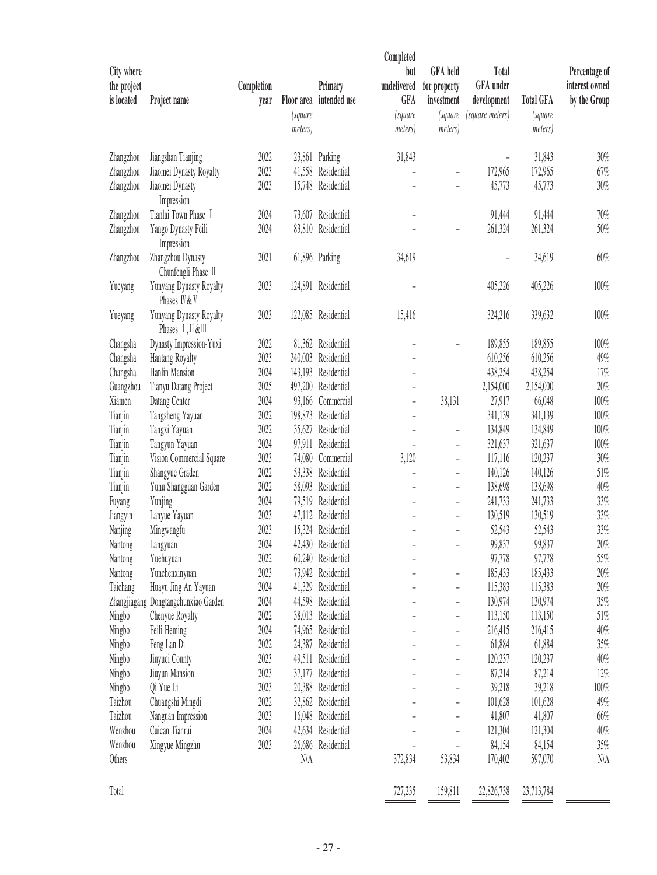| City where<br>the project<br>is located | Project name                                  | Completion<br>year | Floor area<br>(square<br>meters) | Primary<br>intended use | Completed<br>but<br>undelivered<br><b>GFA</b><br>(square<br>meters) | <b>GFA</b> held<br>for property<br>investment<br>(square<br>meters) | Total<br>GFA under<br>development<br>(square meters) | <b>Total GFA</b><br>(square<br>meters) | Percentage of<br>interest owned<br>by the Group |
|-----------------------------------------|-----------------------------------------------|--------------------|----------------------------------|-------------------------|---------------------------------------------------------------------|---------------------------------------------------------------------|------------------------------------------------------|----------------------------------------|-------------------------------------------------|
| Zhangzhou                               | Jiangshan Tianjing                            | 2022               |                                  | 23,861 Parking          | 31,843                                                              |                                                                     |                                                      | 31,843                                 | $30\%$                                          |
| Zhangzhou                               | Jiaomei Dynasty Royalty                       | 2023               | 41,558                           | Residential             |                                                                     |                                                                     | 172,965                                              | 172,965                                | 67%                                             |
| Zhangzhou                               | Jiaomei Dynasty<br>Impression                 | 2023               | 15,748                           | Residential             |                                                                     |                                                                     | 45,773                                               | 45,773                                 | 30%                                             |
| Zhangzhou                               | Tianlai Town Phase I                          | 2024               | 73,607                           | Residential             | ÷,                                                                  |                                                                     | 91,444                                               | 91,444                                 | 70%                                             |
| Zhangzhou                               | Yango Dynasty Feili<br>Impression             | 2024               | 83,810                           | Residential             |                                                                     |                                                                     | 261,324                                              | 261,324                                | 50%                                             |
| Zhangzhou                               | Zhangzhou Dynasty<br>Chunfengli Phase II      | 2021               |                                  | 61,896 Parking          | 34,619                                                              |                                                                     |                                                      | 34,619                                 | 60%                                             |
| Yueyang                                 | Yunyang Dynasty Royalty<br>Phases IV & V      | 2023               |                                  | 124,891 Residential     |                                                                     |                                                                     | 405,226                                              | 405,226                                | 100%                                            |
| Yueyang                                 | Yunyang Dynasty Royalty<br>Phases I, II & III | 2023               |                                  | 122,085 Residential     | 15,416                                                              |                                                                     | 324,216                                              | 339,632                                | 100%                                            |
| Changsha                                | Dynasty Impression-Yuxi                       | 2022               |                                  | 81,362 Residential      |                                                                     |                                                                     | 189,855                                              | 189,855                                | 100%                                            |
| Changsha                                | Hantang Royalty                               | 2023               | 240,003                          | Residential             |                                                                     |                                                                     | 610,256                                              | 610,256                                | 49%                                             |
| Changsha                                | Hanlin Mansion                                | 2024               | 143,193                          | Residential             | $\overline{\phantom{0}}$                                            |                                                                     | 438,254                                              | 438,254                                | 17%                                             |
| Guangzhou                               | Tianyu Datang Project                         | 2025               | 497,200                          | Residential             | $\overline{\phantom{0}}$                                            |                                                                     | 2,154,000                                            | 2,154,000                              | 20%                                             |
| Xiamen                                  | Datang Center                                 | 2024               | 93,166                           | Commercial              | $\overline{\phantom{0}}$                                            | 38,131                                                              | 27,917                                               | 66,048                                 | 100%                                            |
| Tianjin                                 | Tangsheng Yayuan                              | 2022               | 198,873                          | Residential             | $\overline{\phantom{0}}$                                            |                                                                     | 341,139                                              | 341,139                                | 100%                                            |
| Tianjin                                 | Tangxi Yayuan                                 | 2022               | 35,627                           | Residential             | ÷,                                                                  | ۰                                                                   | 134,849                                              | 134,849                                | 100%                                            |
| Tianjin                                 | Tangyun Yayuan                                | 2024               | 97,911                           | Residential             |                                                                     |                                                                     | 321,637                                              | 321,637                                | 100%                                            |
| Tianjin                                 | Vision Commercial Square                      | 2023               | 74,080                           | Commercial              | 3,120                                                               |                                                                     | 117,116                                              | 120,237                                | 30%                                             |
| Tianjin                                 | Shangyue Graden                               | 2022               | 53,338                           | Residential             | $\overline{\phantom{0}}$                                            | ۰                                                                   | 140,126                                              | 140,126                                | 51%                                             |
| Tianjin                                 | Yuhu Shangguan Garden                         | 2022               | 58,093                           | Residential             |                                                                     | $\overline{\phantom{0}}$                                            | 138,698                                              | 138,698                                | 40%                                             |
| Fuyang                                  | Yunjing                                       | 2024               | 79,519                           | Residential             |                                                                     |                                                                     | 241,733                                              | 241,733                                | 33%                                             |
| Jiangyin                                | Lanyue Yayuan                                 | 2023               | 47,112                           | Residential             | $\overline{\phantom{0}}$                                            | $\overline{\phantom{a}}$                                            | 130,519                                              | 130,519                                | 33%                                             |
| Nanjing                                 | Mingwangfu                                    | 2023               | 15,324                           | Residential             |                                                                     |                                                                     | 52,543                                               | 52,543                                 | 33%                                             |
| Nantong                                 | Langyuan                                      | 2024               | 42,430                           | Residential             |                                                                     |                                                                     | 99,837                                               | 99,837                                 | 20%                                             |
| Nantong                                 | Yuehuyuan                                     | 2022               |                                  | 60,240 Residential      |                                                                     |                                                                     | 97,778                                               | 97,778                                 | 55%                                             |
| Nantong                                 | Yunchenxinyuan                                | 2023               | 73,942                           | Residential             |                                                                     |                                                                     | 185,433                                              | 185,433                                | 20%                                             |
| Taichang                                | Huayu Jing An Yayuan                          | 2024               |                                  | 41,329 Residential      |                                                                     |                                                                     | 115,383                                              | 115,383                                | 20%                                             |
|                                         | Zhangjiagang Dongtangchunxiao Garden          | 2024               |                                  | 44,598 Residential      |                                                                     |                                                                     | 130,974                                              | 130,974                                | 35%                                             |
| Ningbo                                  | Chenyue Royalty                               | 2022               | 38,013                           | Residential             |                                                                     |                                                                     | 113,150                                              | 113,150                                | 51%                                             |
| Ningbo                                  | Feili Heming                                  | 2024               | 74,965                           | Residential             |                                                                     |                                                                     | 216,415                                              | 216,415                                | 40%                                             |
| Ningbo                                  | Feng Lan Di                                   | 2022               | 24,387                           | Residential             |                                                                     |                                                                     | 61,884                                               | 61,884                                 | 35%                                             |
| Ningbo                                  | Jiuyuci County                                | 2023               | 49,511                           | Residential             |                                                                     |                                                                     | 120,237                                              | 120,237                                | 40%                                             |
| Ningbo                                  | Jiuyun Mansion                                | 2023               |                                  | 37,177 Residential      |                                                                     |                                                                     | 87,214                                               | 87,214                                 | 12%                                             |
| Ningbo                                  | Qi Yue Li                                     | 2023               | 20,388                           | Residential             |                                                                     |                                                                     | 39,218                                               | 39,218                                 | 100%                                            |
| Taizhou                                 | Chuangshi Mingdi                              | 2022               | 32,862                           | Residential             |                                                                     |                                                                     | 101,628                                              | 101,628                                | 49%                                             |
| Taizhou                                 | Nanguan Impression                            | 2023               |                                  | 16,048 Residential      |                                                                     |                                                                     | 41,807                                               | 41,807                                 | 66%                                             |
| Wenzhou                                 | Cuican Tianrui                                | 2024               |                                  | 42,634 Residential      |                                                                     |                                                                     | 121,304                                              | 121,304                                | 40%                                             |
| Wenzhou<br>Others                       | Xingyue Mingzhu                               | 2023               | N/A                              | 26,686 Residential      | 372,834                                                             | 53,834                                                              | 84,154<br>170,402                                    | 84,154<br>597,070                      | 35%<br>N/A                                      |
| Total                                   |                                               |                    |                                  |                         | 727,235                                                             | 159,811                                                             | 22,826,738                                           | 23,713,784                             |                                                 |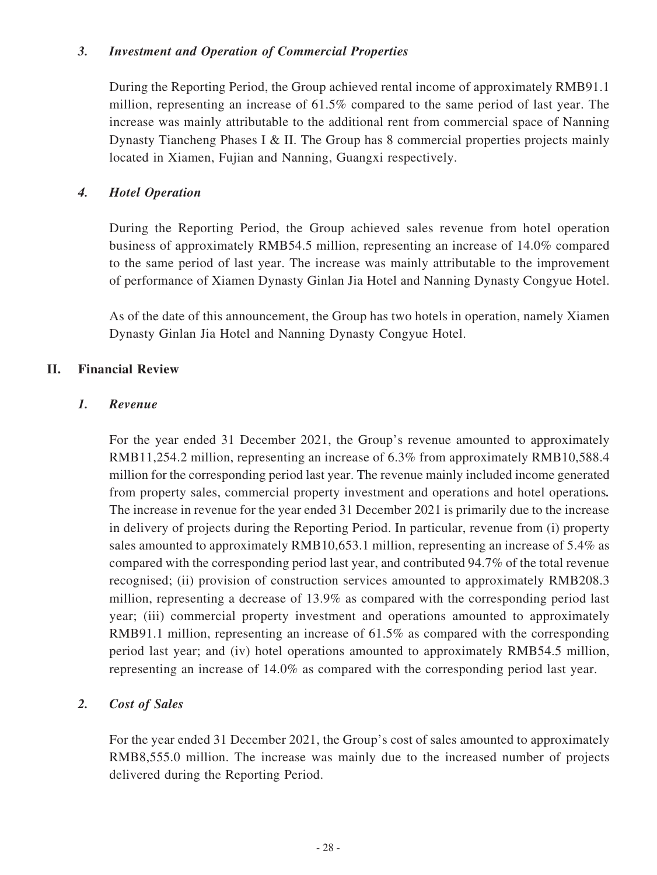#### *3. Investment and Operation of Commercial Properties*

During the Reporting Period, the Group achieved rental income of approximately RMB91.1 million, representing an increase of 61.5% compared to the same period of last year. The increase was mainly attributable to the additional rent from commercial space of Nanning Dynasty Tiancheng Phases I & II. The Group has 8 commercial properties projects mainly located in Xiamen, Fujian and Nanning, Guangxi respectively.

#### *4. Hotel Operation*

During the Reporting Period, the Group achieved sales revenue from hotel operation business of approximately RMB54.5 million, representing an increase of 14.0% compared to the same period of last year. The increase was mainly attributable to the improvement of performance of Xiamen Dynasty Ginlan Jia Hotel and Nanning Dynasty Congyue Hotel.

As of the date of this announcement, the Group has two hotels in operation, namely Xiamen Dynasty Ginlan Jia Hotel and Nanning Dynasty Congyue Hotel.

#### **II. Financial Review**

#### *1. Revenue*

For the year ended 31 December 2021, the Group's revenue amounted to approximately RMB11,254.2 million, representing an increase of 6.3% from approximately RMB10,588.4 million for the corresponding period last year. The revenue mainly included income generated from property sales, commercial property investment and operations and hotel operations*.*  The increase in revenue for the year ended 31 December 2021 is primarily due to the increase in delivery of projects during the Reporting Period. In particular, revenue from (i) property sales amounted to approximately RMB10,653.1 million, representing an increase of 5.4% as compared with the corresponding period last year, and contributed 94.7% of the total revenue recognised; (ii) provision of construction services amounted to approximately RMB208.3 million, representing a decrease of 13.9% as compared with the corresponding period last year; (iii) commercial property investment and operations amounted to approximately RMB91.1 million, representing an increase of 61.5% as compared with the corresponding period last year; and (iv) hotel operations amounted to approximately RMB54.5 million, representing an increase of 14.0% as compared with the corresponding period last year.

### *2. Cost of Sales*

For the year ended 31 December 2021, the Group's cost of sales amounted to approximately RMB8,555.0 million. The increase was mainly due to the increased number of projects delivered during the Reporting Period.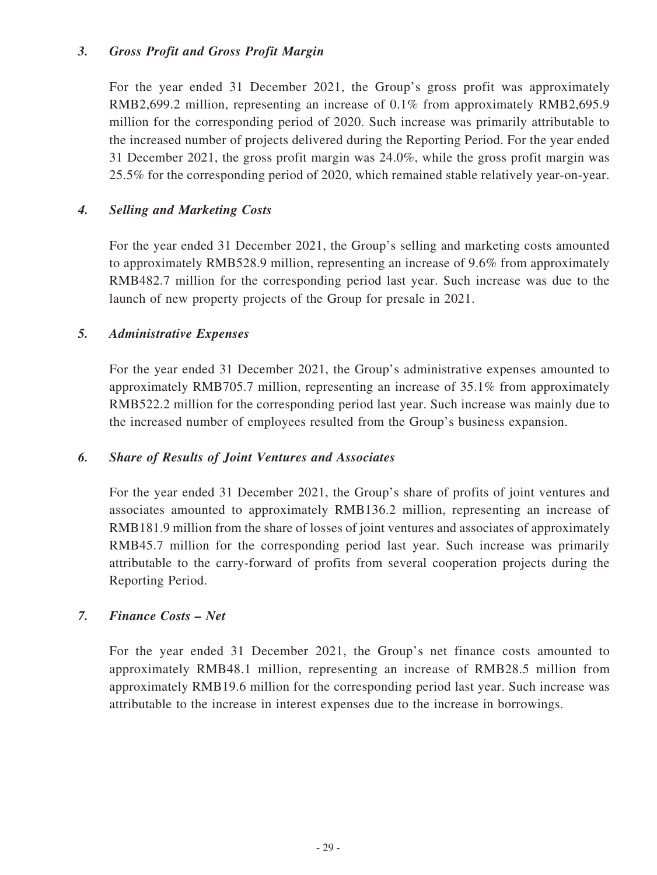#### *3. Gross Profit and Gross Profit Margin*

For the year ended 31 December 2021, the Group's gross profit was approximately RMB2,699.2 million, representing an increase of 0.1% from approximately RMB2,695.9 million for the corresponding period of 2020. Such increase was primarily attributable to the increased number of projects delivered during the Reporting Period. For the year ended 31 December 2021, the gross profit margin was 24.0%, while the gross profit margin was 25.5% for the corresponding period of 2020, which remained stable relatively year-on-year.

### *4. Selling and Marketing Costs*

For the year ended 31 December 2021, the Group's selling and marketing costs amounted to approximately RMB528.9 million, representing an increase of 9.6% from approximately RMB482.7 million for the corresponding period last year. Such increase was due to the launch of new property projects of the Group for presale in 2021.

#### *5. Administrative Expenses*

For the year ended 31 December 2021, the Group's administrative expenses amounted to approximately RMB705.7 million, representing an increase of 35.1% from approximately RMB522.2 million for the corresponding period last year. Such increase was mainly due to the increased number of employees resulted from the Group's business expansion.

### *6. Share of Results of Joint Ventures and Associates*

For the year ended 31 December 2021, the Group's share of profits of joint ventures and associates amounted to approximately RMB136.2 million, representing an increase of RMB181.9 million from the share of losses of joint ventures and associates of approximately RMB45.7 million for the corresponding period last year. Such increase was primarily attributable to the carry-forward of profits from several cooperation projects during the Reporting Period.

### *7. Finance Costs – Net*

For the year ended 31 December 2021, the Group's net finance costs amounted to approximately RMB48.1 million, representing an increase of RMB28.5 million from approximately RMB19.6 million for the corresponding period last year. Such increase was attributable to the increase in interest expenses due to the increase in borrowings.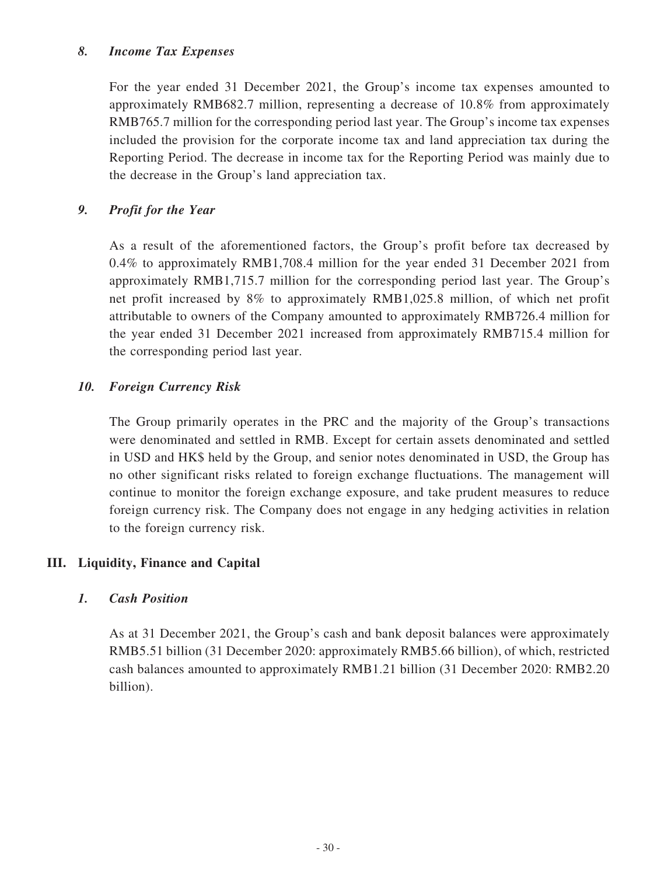#### *8. Income Tax Expenses*

For the year ended 31 December 2021, the Group's income tax expenses amounted to approximately RMB682.7 million, representing a decrease of 10.8% from approximately RMB765.7 million for the corresponding period last year. The Group's income tax expenses included the provision for the corporate income tax and land appreciation tax during the Reporting Period. The decrease in income tax for the Reporting Period was mainly due to the decrease in the Group's land appreciation tax.

### *9. Profit for the Year*

As a result of the aforementioned factors, the Group's profit before tax decreased by 0.4% to approximately RMB1,708.4 million for the year ended 31 December 2021 from approximately RMB1,715.7 million for the corresponding period last year. The Group's net profit increased by 8% to approximately RMB1,025.8 million, of which net profit attributable to owners of the Company amounted to approximately RMB726.4 million for the year ended 31 December 2021 increased from approximately RMB715.4 million for the corresponding period last year.

### *10. Foreign Currency Risk*

The Group primarily operates in the PRC and the majority of the Group's transactions were denominated and settled in RMB. Except for certain assets denominated and settled in USD and HK\$ held by the Group, and senior notes denominated in USD, the Group has no other significant risks related to foreign exchange fluctuations. The management will continue to monitor the foreign exchange exposure, and take prudent measures to reduce foreign currency risk. The Company does not engage in any hedging activities in relation to the foreign currency risk.

### **III. Liquidity, Finance and Capital**

### *1. Cash Position*

As at 31 December 2021, the Group's cash and bank deposit balances were approximately RMB5.51 billion (31 December 2020: approximately RMB5.66 billion), of which, restricted cash balances amounted to approximately RMB1.21 billion (31 December 2020: RMB2.20 billion).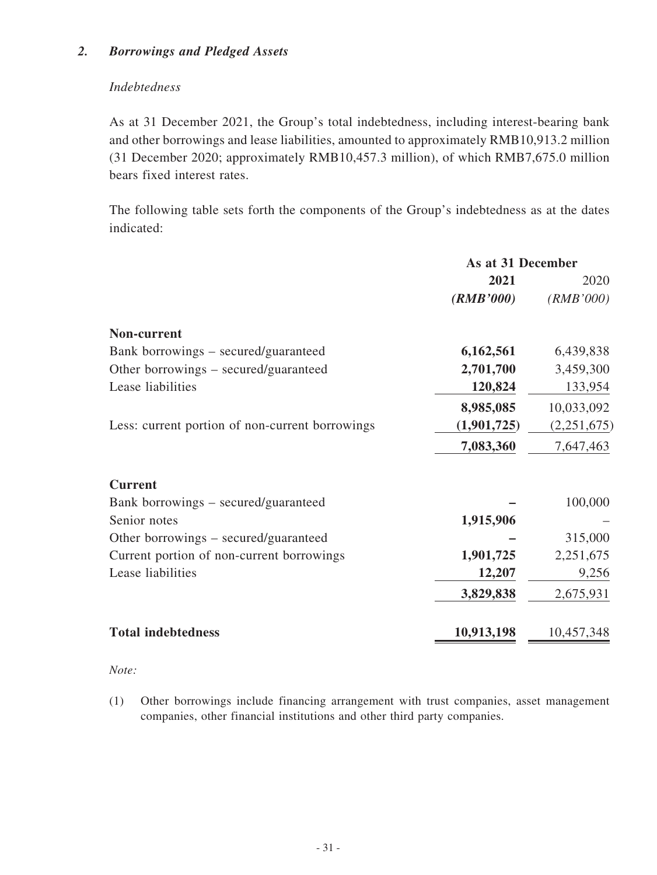### *2. Borrowings and Pledged Assets*

### *Indebtedness*

As at 31 December 2021, the Group's total indebtedness, including interest-bearing bank and other borrowings and lease liabilities, amounted to approximately RMB10,913.2 million (31 December 2020; approximately RMB10,457.3 million), of which RMB7,675.0 million bears fixed interest rates.

The following table sets forth the components of the Group's indebtedness as at the dates indicated:

| As at 31 December |             |  |
|-------------------|-------------|--|
| 2021              | 2020        |  |
| (RMB'000)         | (RMB'000)   |  |
|                   |             |  |
| 6,162,561         | 6,439,838   |  |
| 2,701,700         | 3,459,300   |  |
| 120,824           | 133,954     |  |
|                   | 10,033,092  |  |
| (1,901,725)       | (2,251,675) |  |
| 7,083,360         | 7,647,463   |  |
|                   |             |  |
|                   | 100,000     |  |
| 1,915,906         |             |  |
|                   | 315,000     |  |
| 1,901,725         | 2,251,675   |  |
| 12,207            | 9,256       |  |
| 3,829,838         | 2,675,931   |  |
| 10,913,198        | 10,457,348  |  |
|                   | 8,985,085   |  |

*Note:*

(1) Other borrowings include financing arrangement with trust companies, asset management companies, other financial institutions and other third party companies.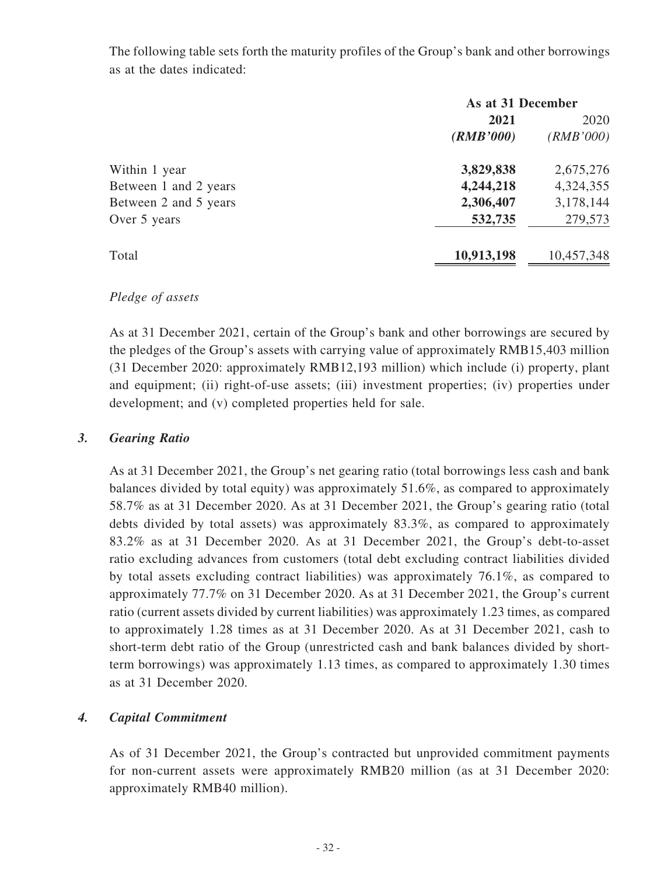The following table sets forth the maturity profiles of the Group's bank and other borrowings as at the dates indicated:

|                       | As at 31 December |            |  |
|-----------------------|-------------------|------------|--|
|                       | 2021              | 2020       |  |
|                       | (RMB'000)         | (RMB'000)  |  |
| Within 1 year         | 3,829,838         | 2,675,276  |  |
| Between 1 and 2 years | 4,244,218         | 4,324,355  |  |
| Between 2 and 5 years | 2,306,407         | 3,178,144  |  |
| Over 5 years          | 532,735           | 279,573    |  |
| Total                 | 10,913,198        | 10,457,348 |  |

### *Pledge of assets*

As at 31 December 2021, certain of the Group's bank and other borrowings are secured by the pledges of the Group's assets with carrying value of approximately RMB15,403 million (31 December 2020: approximately RMB12,193 million) which include (i) property, plant and equipment; (ii) right-of-use assets; (iii) investment properties; (iv) properties under development; and (v) completed properties held for sale.

## *3. Gearing Ratio*

As at 31 December 2021, the Group's net gearing ratio (total borrowings less cash and bank balances divided by total equity) was approximately 51.6%, as compared to approximately 58.7% as at 31 December 2020. As at 31 December 2021, the Group's gearing ratio (total debts divided by total assets) was approximately 83.3%, as compared to approximately 83.2% as at 31 December 2020. As at 31 December 2021, the Group's debt-to-asset ratio excluding advances from customers (total debt excluding contract liabilities divided by total assets excluding contract liabilities) was approximately 76.1%, as compared to approximately 77.7% on 31 December 2020. As at 31 December 2021, the Group's current ratio (current assets divided by current liabilities) was approximately 1.23 times, as compared to approximately 1.28 times as at 31 December 2020. As at 31 December 2021, cash to short-term debt ratio of the Group (unrestricted cash and bank balances divided by shortterm borrowings) was approximately 1.13 times, as compared to approximately 1.30 times as at 31 December 2020.

## *4. Capital Commitment*

As of 31 December 2021, the Group's contracted but unprovided commitment payments for non-current assets were approximately RMB20 million (as at 31 December 2020: approximately RMB40 million).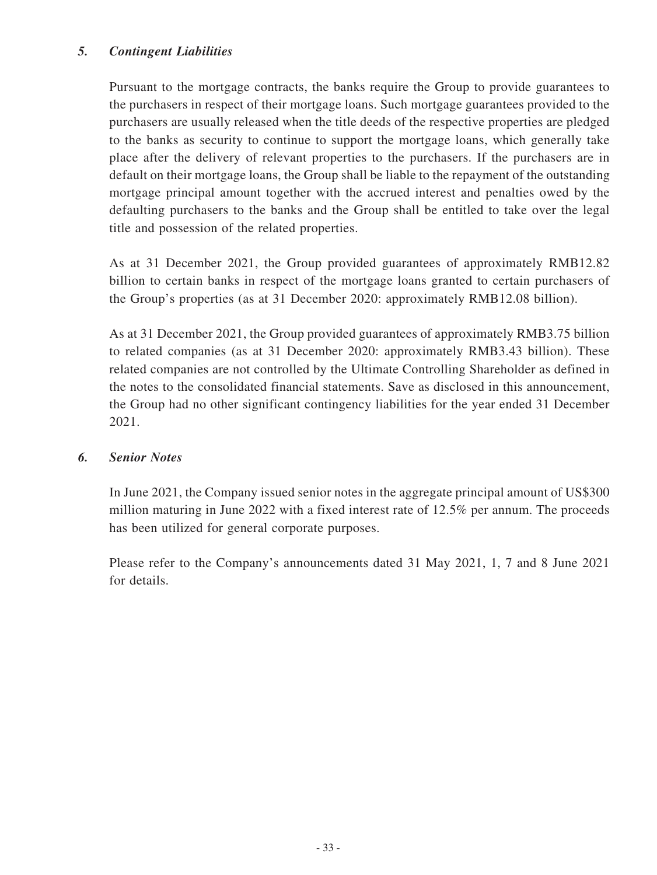### *5. Contingent Liabilities*

Pursuant to the mortgage contracts, the banks require the Group to provide guarantees to the purchasers in respect of their mortgage loans. Such mortgage guarantees provided to the purchasers are usually released when the title deeds of the respective properties are pledged to the banks as security to continue to support the mortgage loans, which generally take place after the delivery of relevant properties to the purchasers. If the purchasers are in default on their mortgage loans, the Group shall be liable to the repayment of the outstanding mortgage principal amount together with the accrued interest and penalties owed by the defaulting purchasers to the banks and the Group shall be entitled to take over the legal title and possession of the related properties.

As at 31 December 2021, the Group provided guarantees of approximately RMB12.82 billion to certain banks in respect of the mortgage loans granted to certain purchasers of the Group's properties (as at 31 December 2020: approximately RMB12.08 billion).

As at 31 December 2021, the Group provided guarantees of approximately RMB3.75 billion to related companies (as at 31 December 2020: approximately RMB3.43 billion). These related companies are not controlled by the Ultimate Controlling Shareholder as defined in the notes to the consolidated financial statements. Save as disclosed in this announcement, the Group had no other significant contingency liabilities for the year ended 31 December 2021.

### *6. Senior Notes*

In June 2021, the Company issued senior notes in the aggregate principal amount of US\$300 million maturing in June 2022 with a fixed interest rate of 12.5% per annum. The proceeds has been utilized for general corporate purposes.

Please refer to the Company's announcements dated 31 May 2021, 1, 7 and 8 June 2021 for details.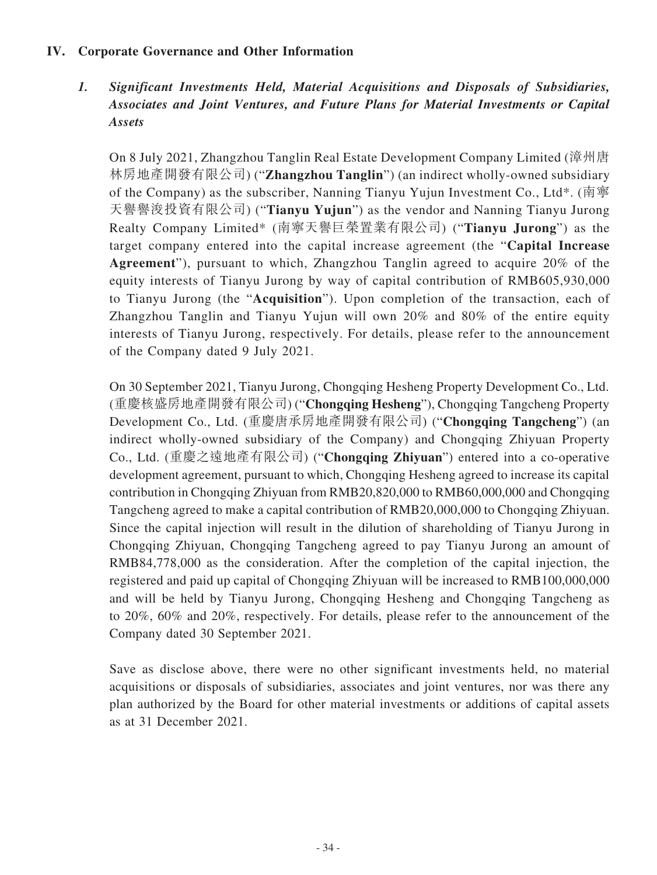### **IV. Corporate Governance and Other Information**

*1. Significant Investments Held, Material Acquisitions and Disposals of Subsidiaries, Associates and Joint Ventures, and Future Plans for Material Investments or Capital Assets*

On 8 July 2021, Zhangzhou Tanglin Real Estate Development Company Limited (漳州唐 林房地產開發有限公司) ("**Zhangzhou Tanglin**") (an indirect wholly-owned subsidiary of the Company) as the subscriber, Nanning Tianyu Yujun Investment Co., Ltd\*. (南寧 天譽譽浚投資有限公司) ("**Tianyu Yujun**") as the vendor and Nanning Tianyu Jurong Realty Company Limited\* (南寧天譽巨榮置業有限公司) ("**Tianyu Jurong**") as the target company entered into the capital increase agreement (the "**Capital Increase Agreement**"), pursuant to which, Zhangzhou Tanglin agreed to acquire 20% of the equity interests of Tianyu Jurong by way of capital contribution of RMB605,930,000 to Tianyu Jurong (the "**Acquisition**"). Upon completion of the transaction, each of Zhangzhou Tanglin and Tianyu Yujun will own 20% and 80% of the entire equity interests of Tianyu Jurong, respectively. For details, please refer to the announcement of the Company dated 9 July 2021.

On 30 September 2021, Tianyu Jurong, Chongqing Hesheng Property Development Co., Ltd. (重慶核盛房地產開發有限公司) ("**Chongqing Hesheng**"), Chongqing Tangcheng Property Development Co., Ltd. (重慶唐承房地產開發有限公司) ("**Chongqing Tangcheng**") (an indirect wholly-owned subsidiary of the Company) and Chongqing Zhiyuan Property Co., Ltd. (重慶之遠地產有限公司) ("**Chongqing Zhiyuan**") entered into a co-operative development agreement, pursuant to which, Chongqing Hesheng agreed to increase its capital contribution in Chongqing Zhiyuan from RMB20,820,000 to RMB60,000,000 and Chongqing Tangcheng agreed to make a capital contribution of RMB20,000,000 to Chongqing Zhiyuan. Since the capital injection will result in the dilution of shareholding of Tianyu Jurong in Chongqing Zhiyuan, Chongqing Tangcheng agreed to pay Tianyu Jurong an amount of RMB84,778,000 as the consideration. After the completion of the capital injection, the registered and paid up capital of Chongqing Zhiyuan will be increased to RMB100,000,000 and will be held by Tianyu Jurong, Chongqing Hesheng and Chongqing Tangcheng as to 20%, 60% and 20%, respectively. For details, please refer to the announcement of the Company dated 30 September 2021.

Save as disclose above, there were no other significant investments held, no material acquisitions or disposals of subsidiaries, associates and joint ventures, nor was there any plan authorized by the Board for other material investments or additions of capital assets as at 31 December 2021.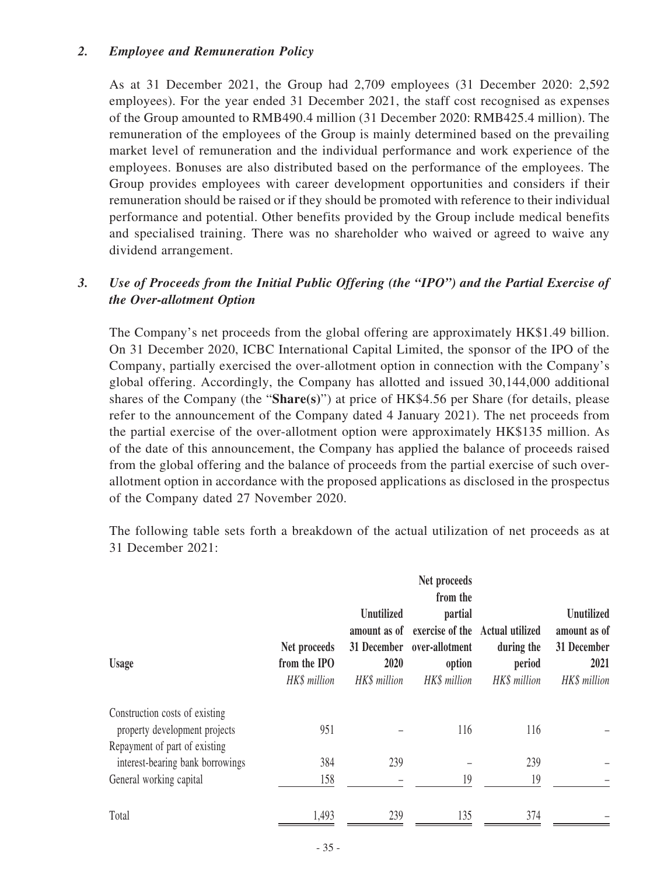#### *2. Employee and Remuneration Policy*

As at 31 December 2021, the Group had 2,709 employees (31 December 2020: 2,592 employees). For the year ended 31 December 2021, the staff cost recognised as expenses of the Group amounted to RMB490.4 million (31 December 2020: RMB425.4 million). The remuneration of the employees of the Group is mainly determined based on the prevailing market level of remuneration and the individual performance and work experience of the employees. Bonuses are also distributed based on the performance of the employees. The Group provides employees with career development opportunities and considers if their remuneration should be raised or if they should be promoted with reference to their individual performance and potential. Other benefits provided by the Group include medical benefits and specialised training. There was no shareholder who waived or agreed to waive any dividend arrangement.

## *3. Use of Proceeds from the Initial Public Offering (the "IPO") and the Partial Exercise of the Over-allotment Option*

The Company's net proceeds from the global offering are approximately HK\$1.49 billion. On 31 December 2020, ICBC International Capital Limited, the sponsor of the IPO of the Company, partially exercised the over-allotment option in connection with the Company's global offering. Accordingly, the Company has allotted and issued 30,144,000 additional shares of the Company (the "**Share(s)**") at price of HK\$4.56 per Share (for details, please refer to the announcement of the Company dated 4 January 2021). The net proceeds from the partial exercise of the over-allotment option were approximately HK\$135 million. As of the date of this announcement, the Company has applied the balance of proceeds raised from the global offering and the balance of proceeds from the partial exercise of such overallotment option in accordance with the proposed applications as disclosed in the prospectus of the Company dated 27 November 2020.

The following table sets forth a breakdown of the actual utilization of net proceeds as at 31 December 2021:

| <b>Usage</b>                                                      | Net proceeds<br>from the IPO<br>HK\$ million | Unutilized<br>2020<br>HK\$ million | Net proceeds<br>from the<br>partial<br>amount as of exercise of the Actual utilized<br>31 December over-allotment<br>option<br>HK\$ million | during the<br>period<br>HK\$ million | <b>Unutilized</b><br>amount as of<br>31 December<br>2021<br>HK\$ million |
|-------------------------------------------------------------------|----------------------------------------------|------------------------------------|---------------------------------------------------------------------------------------------------------------------------------------------|--------------------------------------|--------------------------------------------------------------------------|
| Construction costs of existing<br>property development projects   | 951                                          |                                    | 116                                                                                                                                         | 116                                  |                                                                          |
| Repayment of part of existing<br>interest-bearing bank borrowings | 384                                          | 239                                |                                                                                                                                             | 239                                  |                                                                          |
| General working capital                                           | 158                                          |                                    | 19                                                                                                                                          | 19                                   |                                                                          |
| Total                                                             | 1,493                                        | 239                                | 135                                                                                                                                         | 374                                  |                                                                          |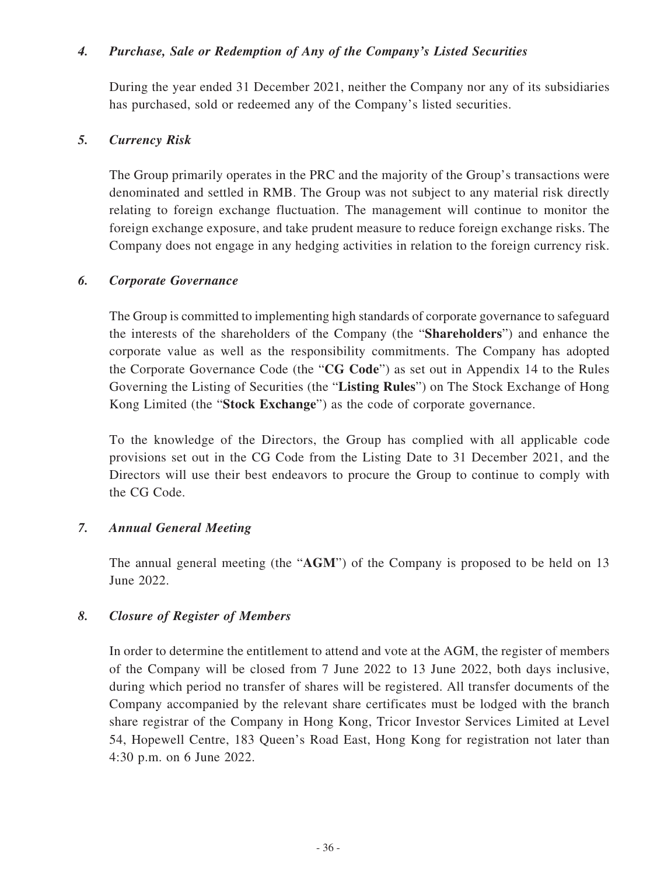#### *4. Purchase, Sale or Redemption of Any of the Company's Listed Securities*

During the year ended 31 December 2021, neither the Company nor any of its subsidiaries has purchased, sold or redeemed any of the Company's listed securities.

#### *5. Currency Risk*

The Group primarily operates in the PRC and the majority of the Group's transactions were denominated and settled in RMB. The Group was not subject to any material risk directly relating to foreign exchange fluctuation. The management will continue to monitor the foreign exchange exposure, and take prudent measure to reduce foreign exchange risks. The Company does not engage in any hedging activities in relation to the foreign currency risk.

#### *6. Corporate Governance*

The Group is committed to implementing high standards of corporate governance to safeguard the interests of the shareholders of the Company (the "**Shareholders**") and enhance the corporate value as well as the responsibility commitments. The Company has adopted the Corporate Governance Code (the "**CG Code**") as set out in Appendix 14 to the Rules Governing the Listing of Securities (the "**Listing Rules**") on The Stock Exchange of Hong Kong Limited (the "**Stock Exchange**") as the code of corporate governance.

To the knowledge of the Directors, the Group has complied with all applicable code provisions set out in the CG Code from the Listing Date to 31 December 2021, and the Directors will use their best endeavors to procure the Group to continue to comply with the CG Code.

### *7. Annual General Meeting*

The annual general meeting (the "**AGM**") of the Company is proposed to be held on 13 June 2022.

### *8. Closure of Register of Members*

In order to determine the entitlement to attend and vote at the AGM, the register of members of the Company will be closed from 7 June 2022 to 13 June 2022, both days inclusive, during which period no transfer of shares will be registered. All transfer documents of the Company accompanied by the relevant share certificates must be lodged with the branch share registrar of the Company in Hong Kong, Tricor Investor Services Limited at Level 54, Hopewell Centre, 183 Queen's Road East, Hong Kong for registration not later than 4:30 p.m. on 6 June 2022.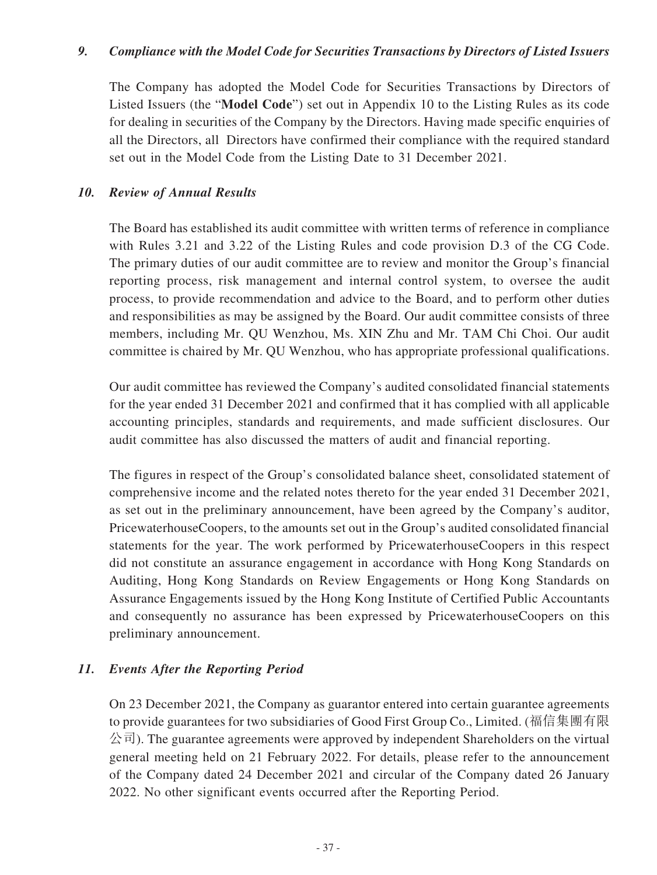#### *9. Compliance with the Model Code for Securities Transactions by Directors of Listed Issuers*

The Company has adopted the Model Code for Securities Transactions by Directors of Listed Issuers (the "**Model Code**") set out in Appendix 10 to the Listing Rules as its code for dealing in securities of the Company by the Directors. Having made specific enquiries of all the Directors, all Directors have confirmed their compliance with the required standard set out in the Model Code from the Listing Date to 31 December 2021.

#### *10. Review of Annual Results*

The Board has established its audit committee with written terms of reference in compliance with Rules 3.21 and 3.22 of the Listing Rules and code provision D.3 of the CG Code. The primary duties of our audit committee are to review and monitor the Group's financial reporting process, risk management and internal control system, to oversee the audit process, to provide recommendation and advice to the Board, and to perform other duties and responsibilities as may be assigned by the Board. Our audit committee consists of three members, including Mr. QU Wenzhou, Ms. XIN Zhu and Mr. TAM Chi Choi. Our audit committee is chaired by Mr. QU Wenzhou, who has appropriate professional qualifications.

Our audit committee has reviewed the Company's audited consolidated financial statements for the year ended 31 December 2021 and confirmed that it has complied with all applicable accounting principles, standards and requirements, and made sufficient disclosures. Our audit committee has also discussed the matters of audit and financial reporting.

The figures in respect of the Group's consolidated balance sheet, consolidated statement of comprehensive income and the related notes thereto for the year ended 31 December 2021, as set out in the preliminary announcement, have been agreed by the Company's auditor, PricewaterhouseCoopers, to the amounts set out in the Group's audited consolidated financial statements for the year. The work performed by PricewaterhouseCoopers in this respect did not constitute an assurance engagement in accordance with Hong Kong Standards on Auditing, Hong Kong Standards on Review Engagements or Hong Kong Standards on Assurance Engagements issued by the Hong Kong Institute of Certified Public Accountants and consequently no assurance has been expressed by PricewaterhouseCoopers on this preliminary announcement.

### *11. Events After the Reporting Period*

On 23 December 2021, the Company as guarantor entered into certain guarantee agreements to provide guarantees for two subsidiaries of Good First Group Co., Limited. (福信集團有限  $\Diamond \exists$ ). The guarantee agreements were approved by independent Shareholders on the virtual general meeting held on 21 February 2022. For details, please refer to the announcement of the Company dated 24 December 2021 and circular of the Company dated 26 January 2022. No other significant events occurred after the Reporting Period.